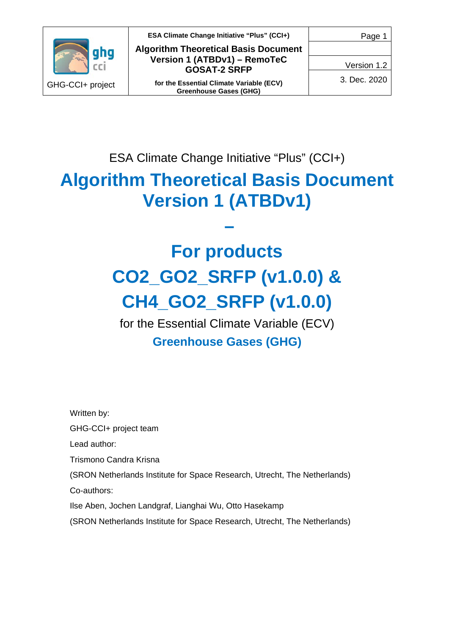

**ESA Climate Change Initiative "Plus" (CCI+) Algorithm Theoretical Basis Document Version 1 (ATBDv1) – RemoTeC GOSAT-2 SRFP**

**for the Essential Climate Variable (ECV) Greenhouse Gases (GHG)**

Version 1.2

3. Dec. 2020

ESA Climate Change Initiative "Plus" (CCI+)

# **Algorithm Theoretical Basis Document Version 1 (ATBDv1)**

**–**

# **For products CO2\_GO2\_SRFP (v1.0.0) & CH4\_GO2\_SRFP (v1.0.0)**

for the Essential Climate Variable (ECV) **Greenhouse Gases (GHG)**

Written by:

GHG-CCI+ project team

Lead author:

Trismono Candra Krisna

(SRON Netherlands Institute for Space Research, Utrecht, The Netherlands)

Co-authors:

Ilse Aben, Jochen Landgraf, Lianghai Wu, Otto Hasekamp

(SRON Netherlands Institute for Space Research, Utrecht, The Netherlands)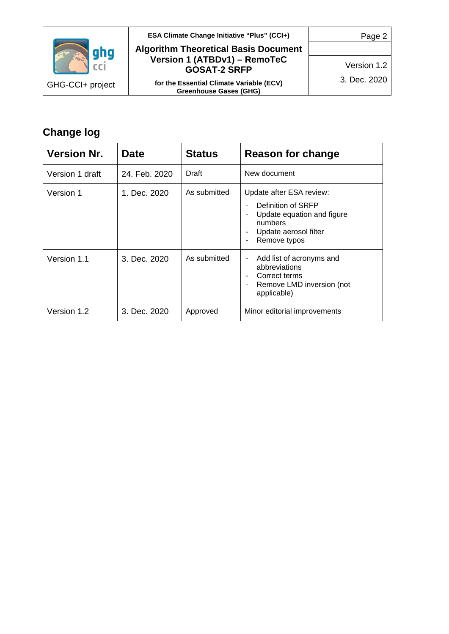

#### **ESA Climate Change Initiative "Plus" (CCI+)**

#### **Algorithm Theoretical Basis Document Version 1 (ATBDv1) – RemoTeC GOSAT-2 SRFP**

**for the Essential Climate Variable (ECV) Greenhouse Gases (GHG)**

Page 2

Version 1.2

3. Dec. 2020

# **Change log**

| <b>Version Nr.</b> | <b>Date</b>   | <b>Status</b> | Reason for change                                                                                                                |
|--------------------|---------------|---------------|----------------------------------------------------------------------------------------------------------------------------------|
| Version 1 draft    | 24. Feb. 2020 | Draft         | New document                                                                                                                     |
| Version 1          | 1. Dec. 2020  | As submitted  | Update after ESA review:<br>Definition of SRFP<br>Update equation and figure<br>numbers<br>Update aerosol filter<br>Remove typos |
| Version 1.1        | 3. Dec. 2020  | As submitted  | Add list of acronyms and<br>abbreviations<br>Correct terms<br>Remove LMD inversion (not<br>applicable)                           |
| Version 1.2        | 3. Dec. 2020  | Approved      | Minor editorial improvements                                                                                                     |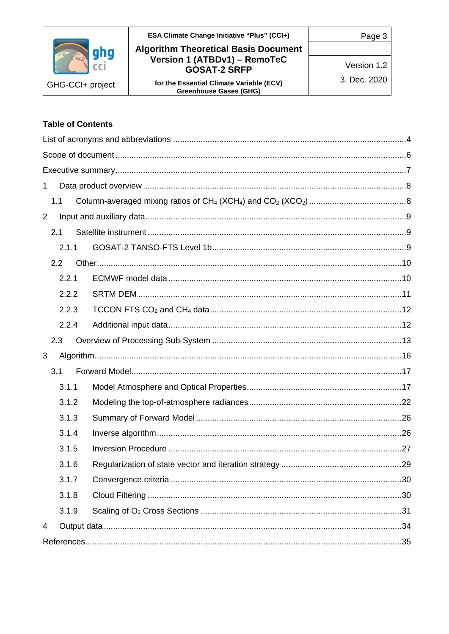|                  | ESA Climate Change Initiative "Plus" (CCI+)<br><b>Algorithm Theoretical Basis Document</b> | Page 3       |
|------------------|--------------------------------------------------------------------------------------------|--------------|
|                  | Version 1 (ATBDv1) - RemoTeC<br><b>GOSAT-2 SRFP</b>                                        | Version 1.2  |
| GHG-CCI+ project | for the Essential Climate Variable (ECV)<br><b>Greenhouse Gases (GHG)</b>                  | 3. Dec. 2020 |

#### **Table of Contents**

| 1 |       |  |
|---|-------|--|
|   | 1.1   |  |
| 2 |       |  |
|   | 2.1   |  |
|   | 2.1.1 |  |
|   | 2.2   |  |
|   | 2.2.1 |  |
|   | 2.2.2 |  |
|   | 2.2.3 |  |
|   | 2.2.4 |  |
|   | 2.3   |  |
| 3 |       |  |
|   | 3.1   |  |
|   | 3.1.1 |  |
|   | 3.1.2 |  |
|   | 3.1.3 |  |
|   | 3.1.4 |  |
|   | 3.1.5 |  |
|   | 3.1.6 |  |
|   | 3.1.7 |  |
|   | 3.1.8 |  |
|   | 3.1.9 |  |
| 4 |       |  |
|   |       |  |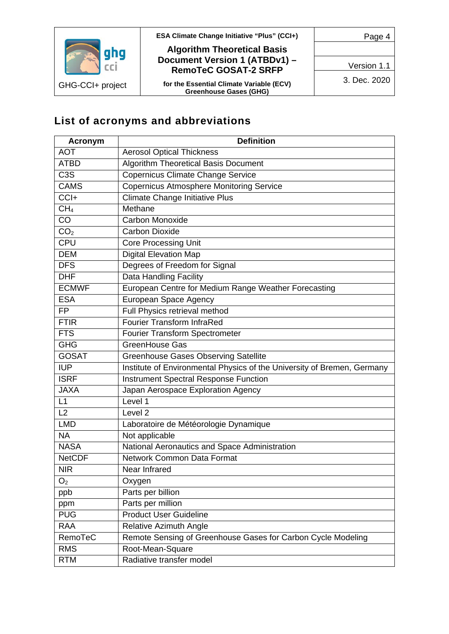

**ESA Climate Change Initiative "Plus" (CCI+)**

#### **Algorithm Theoretical Basis Document Version 1 (ATBDv1) – RemoTeC GOSAT-2 SRFP**

**for the Essential Climate Variable (ECV) Greenhouse Gases (GHG)**

Page 4

Version 1.1

3. Dec. 2020

# <span id="page-3-0"></span>**List of acronyms and abbreviations**

| <b>Acronym</b>   | <b>Definition</b>                                                       |
|------------------|-------------------------------------------------------------------------|
| <b>AOT</b>       | <b>Aerosol Optical Thickness</b>                                        |
| <b>ATBD</b>      | <b>Algorithm Theoretical Basis Document</b>                             |
| C <sub>3</sub> S | Copernicus Climate Change Service                                       |
| <b>CAMS</b>      | <b>Copernicus Atmosphere Monitoring Service</b>                         |
| CCI+             | Climate Change Initiative Plus                                          |
| CH <sub>4</sub>  | Methane                                                                 |
| CO               | <b>Carbon Monoxide</b>                                                  |
| CO <sub>2</sub>  | Carbon Dioxide                                                          |
| <b>CPU</b>       | <b>Core Processing Unit</b>                                             |
| <b>DEM</b>       | <b>Digital Elevation Map</b>                                            |
| <b>DFS</b>       | Degrees of Freedom for Signal                                           |
| <b>DHF</b>       | Data Handling Facility                                                  |
| <b>ECMWF</b>     | European Centre for Medium Range Weather Forecasting                    |
| <b>ESA</b>       | <b>European Space Agency</b>                                            |
| <b>FP</b>        | Full Physics retrieval method                                           |
| <b>FTIR</b>      | <b>Fourier Transform InfraRed</b>                                       |
| <b>FTS</b>       | Fourier Transform Spectrometer                                          |
| <b>GHG</b>       | GreenHouse Gas                                                          |
| <b>GOSAT</b>     | <b>Greenhouse Gases Observing Satellite</b>                             |
| <b>IUP</b>       | Institute of Environmental Physics of the University of Bremen, Germany |
| <b>ISRF</b>      | <b>Instrument Spectral Response Function</b>                            |
| <b>JAXA</b>      | Japan Aerospace Exploration Agency                                      |
| L1               | Level 1                                                                 |
| L2               | Level <sub>2</sub>                                                      |
| <b>LMD</b>       | Laboratoire de Météorologie Dynamique                                   |
| <b>NA</b>        | Not applicable                                                          |
| <b>NASA</b>      | National Aeronautics and Space Administration                           |
| <b>NetCDF</b>    | <b>Network Common Data Format</b>                                       |
| <b>NIR</b>       | Near Infrared                                                           |
| O <sub>2</sub>   | Oxygen                                                                  |
| ppb              | Parts per billion                                                       |
| ppm              | Parts per million                                                       |
| <b>PUG</b>       | <b>Product User Guideline</b>                                           |
| <b>RAA</b>       | <b>Relative Azimuth Angle</b>                                           |
| RemoTeC          | Remote Sensing of Greenhouse Gases for Carbon Cycle Modeling            |
| <b>RMS</b>       | Root-Mean-Square                                                        |
| <b>RTM</b>       | Radiative transfer model                                                |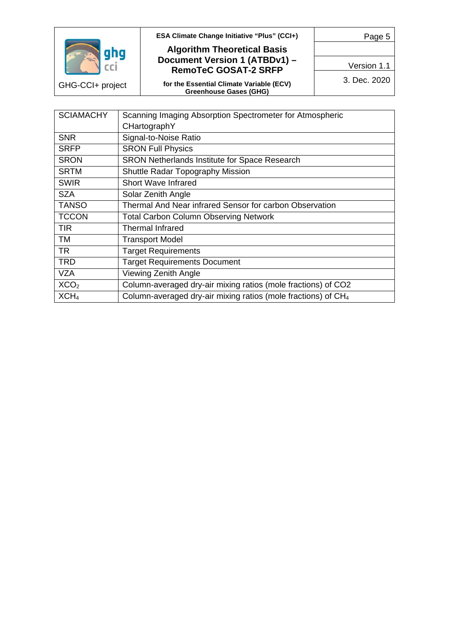

GHG-CCI+ project

**ESA Climate Change Initiative "Plus" (CCI+)**

#### **Algorithm Theoretical Basis Document Version 1 (ATBDv1) – RemoTeC GOSAT-2 SRFP**

**for the Essential Climate Variable (ECV) Greenhouse Gases (GHG)**

Version 1.1

Page 5

3. Dec. 2020

| <b>SCIAMACHY</b> | Scanning Imaging Absorption Spectrometer for Atmospheric                  |
|------------------|---------------------------------------------------------------------------|
|                  | CHartographY                                                              |
| <b>SNR</b>       | Signal-to-Noise Ratio                                                     |
| <b>SRFP</b>      | <b>SRON Full Physics</b>                                                  |
| <b>SRON</b>      | SRON Netherlands Institute for Space Research                             |
| <b>SRTM</b>      | <b>Shuttle Radar Topography Mission</b>                                   |
| <b>SWIR</b>      | <b>Short Wave Infrared</b>                                                |
| <b>SZA</b>       | Solar Zenith Angle                                                        |
| <b>TANSO</b>     | Thermal And Near infrared Sensor for carbon Observation                   |
| <b>TCCON</b>     | <b>Total Carbon Column Observing Network</b>                              |
| TIR              | <b>Thermal Infrared</b>                                                   |
| TM               | <b>Transport Model</b>                                                    |
| TR               | <b>Target Requirements</b>                                                |
| <b>TRD</b>       | <b>Target Requirements Document</b>                                       |
| <b>VZA</b>       | <b>Viewing Zenith Angle</b>                                               |
| XCO <sub>2</sub> | Column-averaged dry-air mixing ratios (mole fractions) of CO2             |
| XCH <sub>4</sub> | Column-averaged dry-air mixing ratios (mole fractions) of CH <sub>4</sub> |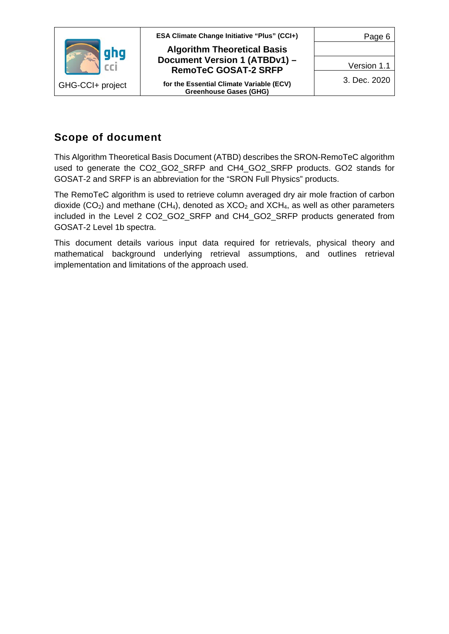

## <span id="page-5-0"></span>**Scope of document**

This Algorithm Theoretical Basis Document (ATBD) describes the SRON-RemoTeC algorithm used to generate the CO2\_GO2\_SRFP and CH4\_GO2\_SRFP products. GO2 stands for GOSAT-2 and SRFP is an abbreviation for the "SRON Full Physics" products.

The RemoTeC algorithm is used to retrieve column averaged dry air mole fraction of carbon dioxide ( $CO<sub>2</sub>$ ) and methane ( $CH<sub>4</sub>$ ), denoted as  $XCO<sub>2</sub>$  and  $XCH<sub>4</sub>$ , as well as other parameters included in the Level 2 CO2\_GO2\_SRFP and CH4\_GO2\_SRFP products generated from GOSAT-2 Level 1b spectra.

This document details various input data required for retrievals, physical theory and mathematical background underlying retrieval assumptions, and outlines retrieval implementation and limitations of the approach used.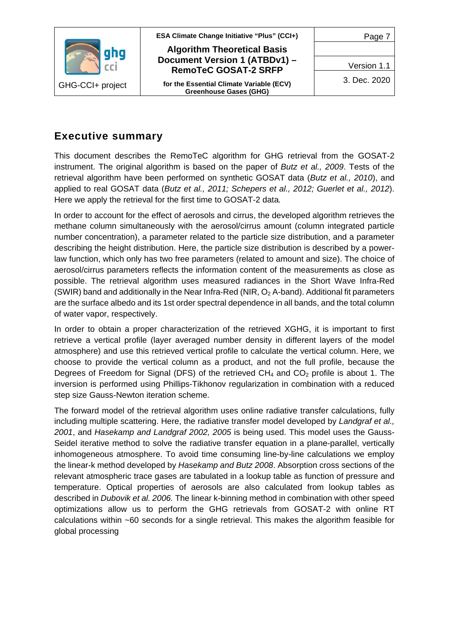

## <span id="page-6-0"></span>**Executive summary**

This document describes the RemoTeC algorithm for GHG retrieval from the GOSAT-2 instrument. The original algorithm is based on the paper of *Butz et al., 2009*. Tests of the retrieval algorithm have been performed on synthetic GOSAT data (*Butz et al., 2010*), and applied to real GOSAT data (*Butz et al., 2011; Schepers et al., 2012; Guerlet et al., 2012*). Here we apply the retrieval for the first time to GOSAT-2 data*.*

In order to account for the effect of aerosols and cirrus, the developed algorithm retrieves the methane column simultaneously with the aerosol/cirrus amount (column integrated particle number concentration), a parameter related to the particle size distribution, and a parameter describing the height distribution. Here, the particle size distribution is described by a powerlaw function, which only has two free parameters (related to amount and size). The choice of aerosol/cirrus parameters reflects the information content of the measurements as close as possible. The retrieval algorithm uses measured radiances in the Short Wave Infra-Red (SWIR) band and additionally in the Near Infra-Red (NIR,  $O<sub>2</sub>$  A-band). Additional fit parameters are the surface albedo and its 1st order spectral dependence in all bands, and the total column of water vapor, respectively.

In order to obtain a proper characterization of the retrieved XGHG, it is important to first retrieve a vertical profile (layer averaged number density in different layers of the model atmosphere) and use this retrieved vertical profile to calculate the vertical column. Here, we choose to provide the vertical column as a product, and not the full profile, because the Degrees of Freedom for Signal (DFS) of the retrieved  $CH_4$  and  $CO_2$  profile is about 1. The inversion is performed using Phillips-Tikhonov regularization in combination with a reduced step size Gauss-Newton iteration scheme.

The forward model of the retrieval algorithm uses online radiative transfer calculations, fully including multiple scattering. Here, the radiative transfer model developed by *Landgraf et al., 2001*, and *Hasekamp and Landgraf 2002, 2005* is being used. This model uses the Gauss-Seidel iterative method to solve the radiative transfer equation in a plane-parallel, vertically inhomogeneous atmosphere. To avoid time consuming line-by-line calculations we employ the linear-k method developed by *Hasekamp and Butz 2008*. Absorption cross sections of the relevant atmospheric trace gases are tabulated in a lookup table as function of pressure and temperature. Optical properties of aerosols are also calculated from lookup tables as described in *Dubovik et al. 2006.* The linear k-binning method in combination with other speed optimizations allow us to perform the GHG retrievals from GOSAT-2 with online RT calculations within ~60 seconds for a single retrieval. This makes the algorithm feasible for global processing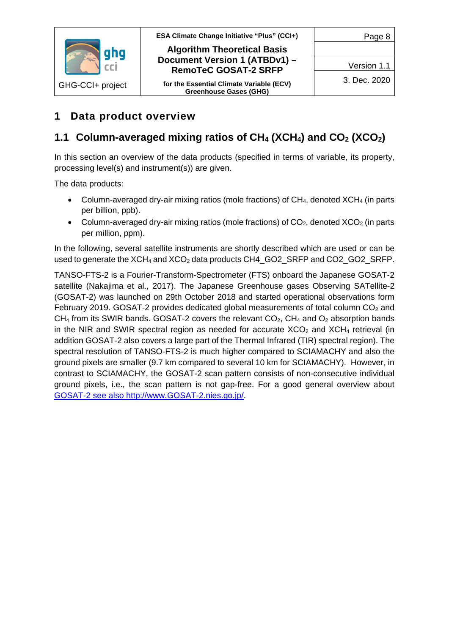

# <span id="page-7-0"></span>**1 Data product overview**

# <span id="page-7-1"></span>**1.1 Column-averaged mixing ratios of CH4 (XCH4) and CO2 (XCO2)**

In this section an overview of the data products (specified in terms of variable, its property, processing level(s) and instrument(s)) are given.

The data products:

- Column-averaged dry-air mixing ratios (mole fractions) of  $CH_4$ , denoted  $XCH_4$  (in parts per billion, ppb).
- Column-averaged dry-air mixing ratios (mole fractions) of  $CO<sub>2</sub>$ , denoted  $XCO<sub>2</sub>$  (in parts per million, ppm).

In the following, several satellite instruments are shortly described which are used or can be used to generate the  $XCH_4$  and  $XCO_2$  data products CH4  $GO2$  SRFP and CO2 GO2 SRFP.

TANSO-FTS-2 is a Fourier-Transform-Spectrometer (FTS) onboard the Japanese GOSAT-2 satellite (Nakajima et al., 2017). The Japanese Greenhouse gases Observing SATellite-2 (GOSAT-2) was launched on 29th October 2018 and started operational observations form February 2019. GOSAT-2 provides dedicated global measurements of total column  $CO<sub>2</sub>$  and CH<sub>4</sub> from its SWIR bands. GOSAT-2 covers the relevant  $CO<sub>2</sub>$ , CH<sub>4</sub> and  $O<sub>2</sub>$  absorption bands in the NIR and SWIR spectral region as needed for accurate  $XCO<sub>2</sub>$  and  $XCH<sub>4</sub>$  retrieval (in addition GOSAT-2 also covers a large part of the Thermal Infrared (TIR) spectral region). The spectral resolution of TANSO-FTS-2 is much higher compared to SCIAMACHY and also the ground pixels are smaller (9.7 km compared to several 10 km for SCIAMACHY). However, in contrast to SCIAMACHY, the GOSAT-2 scan pattern consists of non-consecutive individual ground pixels, i.e., the scan pattern is not gap-free. For a good general overview about GOSAT-2 see also http://www.GOSAT-2.nies.go.jp/.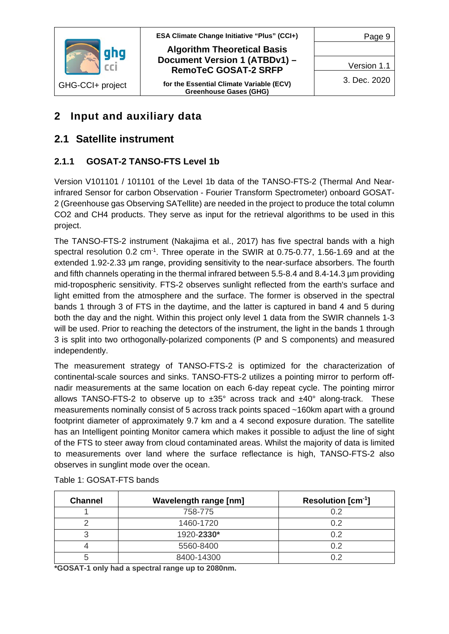

**ESA Climate Change Initiative "Plus" (CCI+) Algorithm Theoretical Basis Document Version 1 (ATBDv1) – RemoTeC GOSAT-2 SRFP**

**for the Essential Climate Variable (ECV) Greenhouse Gases (GHG)**

Page 9

Version 1.1

3. Dec. 2020

# <span id="page-8-0"></span>**2 Input and auxiliary data**

## <span id="page-8-1"></span>**2.1 Satellite instrument**

## <span id="page-8-2"></span>**2.1.1 GOSAT-2 TANSO-FTS Level 1b**

Version V101101 / 101101 of the Level 1b data of the TANSO-FTS-2 (Thermal And Nearinfrared Sensor for carbon Observation - Fourier Transform Spectrometer) onboard GOSAT-2 (Greenhouse gas Observing SATellite) are needed in the project to produce the total column CO2 and CH4 products. They serve as input for the retrieval algorithms to be used in this project.

The TANSO-FTS-2 instrument (Nakajima et al., 2017) has five spectral bands with a high spectral resolution 0.2 cm<sup>-1</sup>. Three operate in the SWIR at 0.75-0.77, 1.56-1.69 and at the extended 1.92-2.33 μm range, providing sensitivity to the near-surface absorbers. The fourth and fifth channels operating in the thermal infrared between 5.5-8.4 and 8.4-14.3 µm providing mid-tropospheric sensitivity. FTS-2 observes sunlight reflected from the earth's surface and light emitted from the atmosphere and the surface. The former is observed in the spectral bands 1 through 3 of FTS in the daytime, and the latter is captured in band 4 and 5 during both the day and the night. Within this project only level 1 data from the SWIR channels 1-3 will be used. Prior to reaching the detectors of the instrument, the light in the bands 1 through 3 is split into two orthogonally-polarized components (P and S components) and measured independently.

The measurement strategy of TANSO-FTS-2 is optimized for the characterization of continental-scale sources and sinks. TANSO-FTS-2 utilizes a pointing mirror to perform offnadir measurements at the same location on each 6-day repeat cycle. The pointing mirror allows TANSO-FTS-2 to observe up to  $\pm 35^\circ$  across track and  $\pm 40^\circ$  along-track. These measurements nominally consist of 5 across track points spaced ~160km apart with a ground footprint diameter of approximately 9.7 km and a 4 second exposure duration. The satellite has an Intelligent pointing Monitor camera which makes it possible to adjust the line of sight of the FTS to steer away from cloud contaminated areas. Whilst the majority of data is limited to measurements over land where the surface reflectance is high, TANSO-FTS-2 also observes in sunglint mode over the ocean.

| <b>Channel</b> | <b>Wavelength range [nm]</b> | <b>Resolution [cm<sup>-1</sup>]</b> |
|----------------|------------------------------|-------------------------------------|
|                | 758-775                      | ∩ י                                 |
|                | 1460-1720                    | በ 2                                 |
|                | 1920-2330*                   | በ 2                                 |
|                | 5560-8400                    |                                     |
|                | 8400-14300                   |                                     |

Table 1: GOSAT-FTS bands

**\*GOSAT-1 only had a spectral range up to 2080nm.**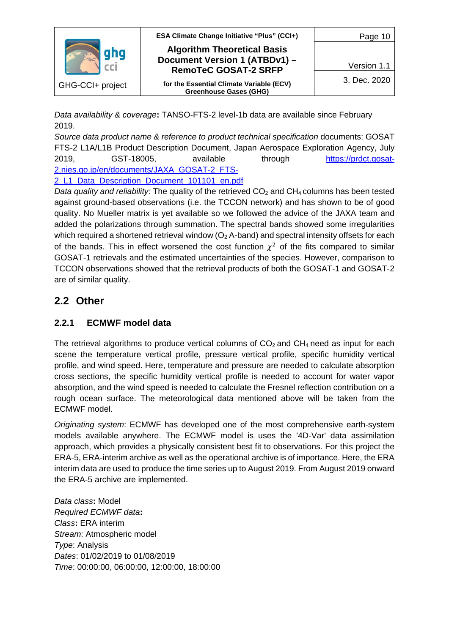

*Data availability & coverage***:** TANSO-FTS-2 level-1b data are available since February 2019.

*Source data product name & reference to product technical specification* documents: GOSAT FTS-2 L1A/L1B Product Description Document, Japan Aerospace Exploration Agency, July 2019, GST-18005, available through [https://prdct.gosat-](https://prdct.gosat-2.nies.go.jp/en/documents/JAXA_GOSAT-2_FTS-2_L1_Data_Description_Document_101101_en.pdf)[2.nies.go.jp/en/documents/JAXA\\_GOSAT-2\\_FTS-](https://prdct.gosat-2.nies.go.jp/en/documents/JAXA_GOSAT-2_FTS-2_L1_Data_Description_Document_101101_en.pdf)2 L1 Data Description Document 101101 en.pdf

*Data quality and reliability:* The quality of the retrieved CO<sub>2</sub> and CH<sub>4</sub> columns has been tested against ground-based observations (i.e. the TCCON network) and has shown to be of good quality. No Mueller matrix is yet available so we followed the advice of the JAXA team and added the polarizations through summation. The spectral bands showed some irregularities which required a shortened retrieval window ( $O<sub>2</sub>$  A-band) and spectral intensity offsets for each of the bands. This in effect worsened the cost function  $\chi^2$  of the fits compared to similar GOSAT-1 retrievals and the estimated uncertainties of the species. However, comparison to TCCON observations showed that the retrieval products of both the GOSAT-1 and GOSAT-2 are of similar quality.

## <span id="page-9-0"></span>**2.2 Other**

## <span id="page-9-1"></span>**2.2.1 ECMWF model data**

The retrieval algorithms to produce vertical columns of  $CO<sub>2</sub>$  and  $CH<sub>4</sub>$  need as input for each scene the temperature vertical profile, pressure vertical profile, specific humidity vertical profile, and wind speed. Here, temperature and pressure are needed to calculate absorption cross sections, the specific humidity vertical profile is needed to account for water vapor absorption, and the wind speed is needed to calculate the Fresnel reflection contribution on a rough ocean surface. The meteorological data mentioned above will be taken from the ECMWF model.

*Originating system*: ECMWF has developed one of the most comprehensive earth-system models available anywhere. The ECMWF model is uses the '4D-Var' data assimilation approach, which provides a physically consistent best fit to observations. For this project the ERA-5, ERA-interim archive as well as the operational archive is of importance. Here, the ERA interim data are used to produce the time series up to August 2019. From August 2019 onward the ERA-5 archive are implemented.

*Data class***:** Model *Required ECMWF data***:** *Class***:** ERA interim *Stream*: Atmospheric model *Type*: Analysis *Dates*: 01/02/2019 to 01/08/2019 *Time*: 00:00:00, 06:00:00, 12:00:00, 18:00:00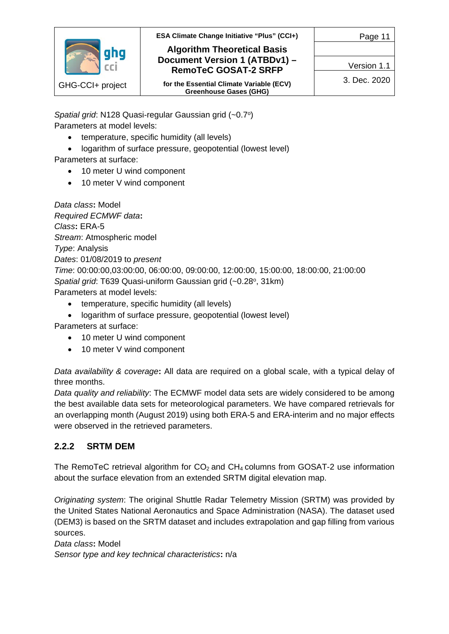

**ESA Climate Change Initiative "Plus" (CCI+)**

#### **Algorithm Theoretical Basis Document Version 1 (ATBDv1) – RemoTeC GOSAT-2 SRFP**

**for the Essential Climate Variable (ECV) Greenhouse Gases (GHG)**

Version 1.1

Page 11

3. Dec. 2020

*Spatial grid*: N128 Quasi-regular Gaussian grid (~0.7o) Parameters at model levels:

- temperature, specific humidity (all levels)
- logarithm of surface pressure, geopotential (lowest level)

Parameters at surface:

- 10 meter U wind component
- 10 meter V wind component

*Data class***:** Model *Required ECMWF data***:** *Class***:** ERA-5 *Stream*: Atmospheric model *Type*: Analysis *Dates*: 01/08/2019 to *present Time*: 00:00:00,03:00:00, 06:00:00, 09:00:00, 12:00:00, 15:00:00, 18:00:00, 21:00:00 *Spatial grid*: T639 Quasi-uniform Gaussian grid (~0.28°, 31km) Parameters at model levels:

- temperature, specific humidity (all levels)
- logarithm of surface pressure, geopotential (lowest level)

Parameters at surface:

- 10 meter U wind component
- 10 meter V wind component

*Data availability & coverage***:** All data are required on a global scale, with a typical delay of three months.

*Data quality and reliability*: The ECMWF model data sets are widely considered to be among the best available data sets for meteorological parameters. We have compared retrievals for an overlapping month (August 2019) using both ERA-5 and ERA-interim and no major effects were observed in the retrieved parameters.

## <span id="page-10-0"></span>**2.2.2 SRTM DEM**

The RemoTeC retrieval algorithm for  $CO<sub>2</sub>$  and  $CH<sub>4</sub>$  columns from GOSAT-2 use information about the surface elevation from an extended SRTM digital elevation map.

*Originating system*: The original Shuttle Radar Telemetry Mission (SRTM) was provided by the United States National Aeronautics and Space Administration (NASA). The dataset used (DEM3) is based on the SRTM dataset and includes extrapolation and gap filling from various sources.

*Data class***:** Model *Sensor type and key technical characteristics***:** n/a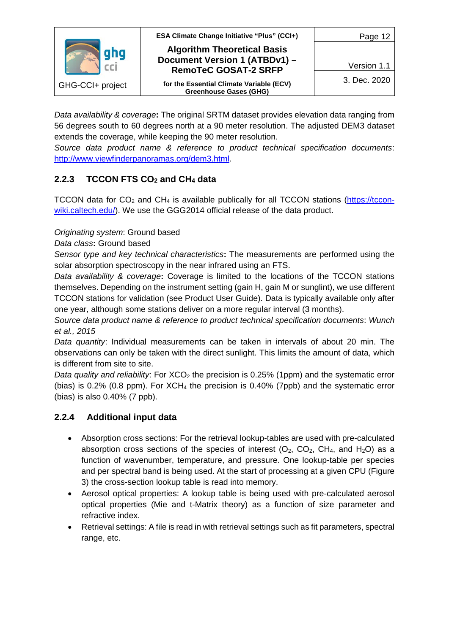

*Data availability & coverage***:** The original SRTM dataset provides elevation data ranging from 56 degrees south to 60 degrees north at a 90 meter resolution. The adjusted DEM3 dataset extends the coverage, while keeping the 90 meter resolution.

*Source data product name & reference to product technical specification documents*: [http://www.viewfinderpanoramas.org/dem3.html.](http://www.viewfinderpanoramas.org/dem3.html)

## <span id="page-11-0"></span>**2.2.3 TCCON FTS CO2 and CH4 data**

TCCON data for  $CO<sub>2</sub>$  and  $CH<sub>4</sub>$  is available publically for all TCCON stations [\(https://tccon](https://tccon-wiki.caltech.edu/)[wiki.caltech.edu/\)](https://tccon-wiki.caltech.edu/). We use the GGG2014 official release of the data product.

#### *Originating system*: Ground based

*Data class***:** Ground based

*Sensor type and key technical characteristics***:** The measurements are performed using the solar absorption spectroscopy in the near infrared using an FTS.

*Data availability & coverage***:** Coverage is limited to the locations of the TCCON stations themselves. Depending on the instrument setting (gain H, gain M or sunglint), we use different TCCON stations for validation (see Product User Guide). Data is typically available only after one year, although some stations deliver on a more regular interval (3 months).

*Source data product name & reference to product technical specification documents*: *Wunch et al., 2015* 

*Data quantity*: Individual measurements can be taken in intervals of about 20 min. The observations can only be taken with the direct sunlight. This limits the amount of data, which is different from site to site.

*Data quality and reliability*: For XCO<sub>2</sub> the precision is 0.25% (1ppm) and the systematic error (bias) is 0.2% (0.8 ppm). For  $XCH_4$  the precision is 0.40% (7ppb) and the systematic error (bias) is also 0.40% (7 ppb).

## <span id="page-11-1"></span>**2.2.4 Additional input data**

- Absorption cross sections: For the retrieval lookup-tables are used with pre-calculated absorption cross sections of the species of interest  $(O_2, CO_2, CH_4, and H_2O)$  as a function of wavenumber, temperature, and pressure. One lookup-table per species and per spectral band is being used. At the start of processing at a given CPU [\(Figure](#page-14-0)  [3\)](#page-14-0) the cross-section lookup table is read into memory.
- Aerosol optical properties: A lookup table is being used with pre-calculated aerosol optical properties (Mie and t-Matrix theory) as a function of size parameter and refractive index.
- Retrieval settings: A file is read in with retrieval settings such as fit parameters, spectral range, etc.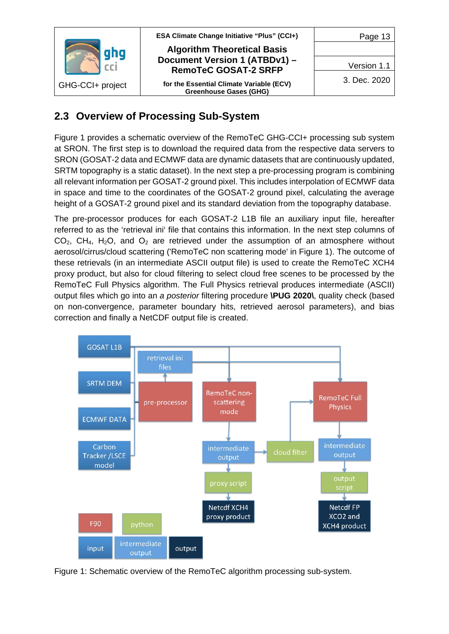

## <span id="page-12-0"></span>**2.3 Overview of Processing Sub-System**

[Figure 1](#page-12-1) provides a schematic overview of the RemoTeC GHG-CCI+ processing sub system at SRON. The first step is to download the required data from the respective data servers to SRON (GOSAT-2 data and ECMWF data are dynamic datasets that are continuously updated, SRTM topography is a static dataset). In the next step a pre-processing program is combining all relevant information per GOSAT-2 ground pixel. This includes interpolation of ECMWF data in space and time to the coordinates of the GOSAT-2 ground pixel, calculating the average height of a GOSAT-2 ground pixel and its standard deviation from the topography database.

The pre-processor produces for each GOSAT-2 L1B file an auxiliary input file, hereafter referred to as the 'retrieval ini' file that contains this information. In the next step columns of  $CO<sub>2</sub>$ , CH<sub>4</sub>, H<sub>2</sub>O, and  $O<sub>2</sub>$  are retrieved under the assumption of an atmosphere without aerosol/cirrus/cloud scattering ('RemoTeC non scattering mode' in [Figure 1\)](#page-12-1). The outcome of these retrievals (in an intermediate ASCII output file) is used to create the RemoTeC XCH4 proxy product, but also for cloud filtering to select cloud free scenes to be processed by the RemoTeC Full Physics algorithm. The Full Physics retrieval produces intermediate (ASCII) output files which go into an *a posterior* filtering procedure **\PUG 2020\**, quality check (based on non-convergence, parameter boundary hits, retrieved aerosol parameters), and bias correction and finally a NetCDF output file is created.



<span id="page-12-1"></span>Figure 1: Schematic overview of the RemoTeC algorithm processing sub-system.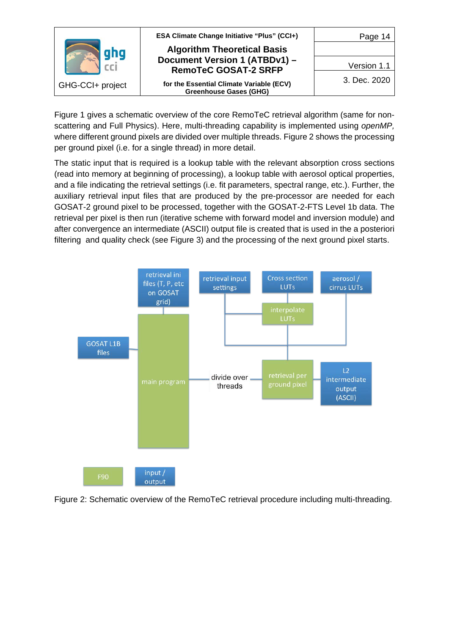

[Figure 1](#page-12-1) gives a schematic overview of the core RemoTeC retrieval algorithm (same for nonscattering and Full Physics). Here, multi-threading capability is implemented using *openMP,*  where different ground pixels are divided over multiple threads. [Figure 2](#page-13-0) shows the processing per ground pixel (i.e. for a single thread) in more detail.

The static input that is required is a lookup table with the relevant absorption cross sections (read into memory at beginning of processing), a lookup table with aerosol optical properties, and a file indicating the retrieval settings (i.e. fit parameters, spectral range, etc.). Further, the auxiliary retrieval input files that are produced by the pre-processor are needed for each GOSAT-2 ground pixel to be processed, together with the GOSAT-2-FTS Level 1b data. The retrieval per pixel is then run (iterative scheme with forward model and inversion module) and after convergence an intermediate (ASCII) output file is created that is used in the a posteriori filtering and quality check (see [Figure 3\)](#page-14-0) and the processing of the next ground pixel starts.



<span id="page-13-0"></span>Figure 2: Schematic overview of the RemoTeC retrieval procedure including multi-threading.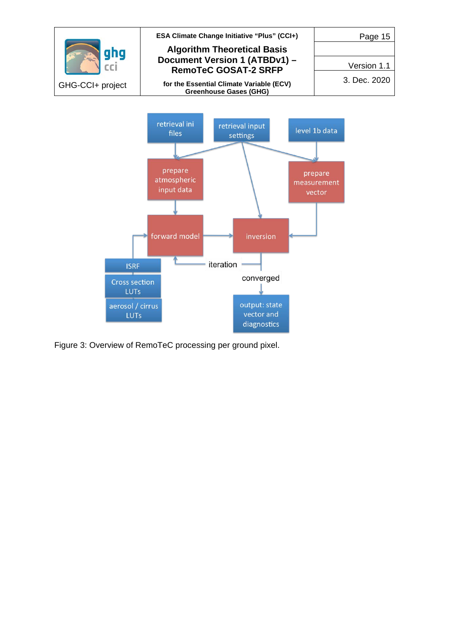

converged

output: state vector and

diagnostics

<span id="page-14-0"></span>Figure 3: Overview of RemoTeC processing per ground pixel.

Cross section **LUTs** aerosol / cirrus

LUTs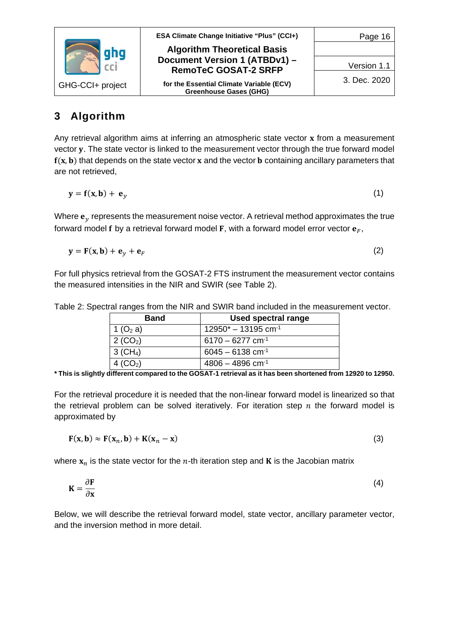

# <span id="page-15-0"></span>**3 Algorithm**

Any retrieval algorithm aims at inferring an atmospheric state vector  $x$  from a measurement vector y. The state vector is linked to the measurement vector through the true forward model  $f(x, b)$  that depends on the state vector x and the vector **b** containing ancillary parameters that are not retrieved,

$$
y = f(x, b) + e_y \tag{1}
$$

Where  $\mathbf{e}_y$  represents the measurement noise vector. A retrieval method approximates the true forward model f by a retrieval forward model F, with a forward model error vector  $\mathbf{e}_F$ ,

$$
\mathbf{y} = \mathbf{F}(\mathbf{x}, \mathbf{b}) + \mathbf{e}_y + \mathbf{e}_F \tag{2}
$$

For full physics retrieval from the GOSAT-2 FTS instrument the measurement vector contains the measured intensities in the NIR and SWIR (see [Table 2\)](#page-15-1).

<span id="page-15-1"></span>

|  |  | Table 2: Spectral ranges from the NIR and SWIR band included in the measurement vector. |
|--|--|-----------------------------------------------------------------------------------------|
|  |  |                                                                                         |

| <b>Band</b>            | <b>Used spectral range</b>        |
|------------------------|-----------------------------------|
| 1 (O <sub>2</sub> a)   | $12950* - 13195$ cm <sup>-1</sup> |
| 2 (CO <sub>2</sub> )   | $6170 - 6277$ cm <sup>-1</sup>    |
| $3$ (CH <sub>4</sub> ) | $6045 - 6138$ cm <sup>-1</sup>    |
| 4 $(CO2)$              | $4806 - 4896$ cm <sup>-1</sup>    |

**\* This is slightly different compared to the GOSAT-1 retrieval as it has been shortened from 12920 to 12950.**

For the retrieval procedure it is needed that the non-linear forward model is linearized so that the retrieval problem can be solved iteratively. For iteration step  $n$  the forward model is approximated by

$$
\mathbf{F}(\mathbf{x}, \mathbf{b}) \approx \mathbf{F}(\mathbf{x}_n, \mathbf{b}) + \mathbf{K}(\mathbf{x}_n - \mathbf{x})
$$
\n(3)

where  $x_n$  is the state vector for the *n*-th iteration step and **K** is the Jacobian matrix

$$
K = \frac{\partial F}{\partial x} \tag{4}
$$

Below, we will describe the retrieval forward model, state vector, ancillary parameter vector, and the inversion method in more detail.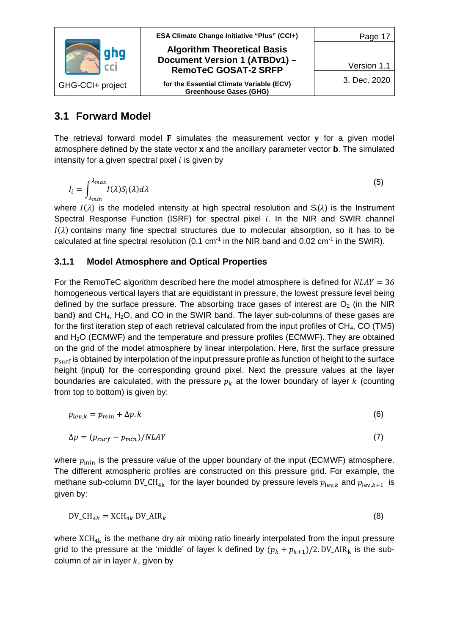

## <span id="page-16-0"></span>**3.1 Forward Model**

The retrieval forward model  $F$  simulates the measurement vector  $v$  for a given model atmosphere defined by the state vector **x** and the ancillary parameter vector **b**. The simulated intensity for a given spectral pixel  $i$  is given by

$$
I_i = \int_{\lambda_{min}}^{\lambda_{max}} I(\lambda) S_i(\lambda) d\lambda
$$
 (5)

where  $I(\lambda)$  is the modeled intensity at high spectral resolution and  $S_i(\lambda)$  is the Instrument Spectral Response Function (ISRF) for spectral pixel  $i$ . In the NIR and SWIR channel  $I(\lambda)$  contains many fine spectral structures due to molecular absorption, so it has to be calculated at fine spectral resolution (0.1 cm<sup>-1</sup> in the NIR band and 0.02 cm<sup>-1</sup> in the SWIR).

## <span id="page-16-1"></span>**3.1.1 Model Atmosphere and Optical Properties**

For the RemoTeC algorithm described here the model atmosphere is defined for  $NLAY = 36$ homogeneous vertical layers that are equidistant in pressure, the lowest pressure level being defined by the surface pressure. The absorbing trace gases of interest are  $O<sub>2</sub>$  (in the NIR band) and CH4, H2O, and CO in the SWIR band. The layer sub-columns of these gases are for the first iteration step of each retrieval calculated from the input profiles of CH4, CO (TM5) and  $H<sub>2</sub>O$  (ECMWF) and the temperature and pressure profiles (ECMWF). They are obtained on the grid of the model atmosphere by linear interpolation. Here, first the surface pressure  $p_{\text{surf}}$  is obtained by interpolation of the input pressure profile as function of height to the surface height (input) for the corresponding ground pixel. Next the pressure values at the layer boundaries are calculated, with the pressure  $p_k$  at the lower boundary of layer k (counting from top to bottom) is given by:

$$
p_{lev,k} = p_{min} + \Delta p. k \tag{6}
$$

$$
\Delta p = (p_{\text{surf}} - p_{\text{min}}) / N L A Y \tag{7}
$$

where  $p_{\min}$  is the pressure value of the upper boundary of the input (ECMWF) atmosphere. The different atmospheric profiles are constructed on this pressure grid. For example, the methane sub-column DV\_CH<sub>4k</sub> for the layer bounded by pressure levels  $p_{\text{lev}, k}$  and  $p_{\text{lev}, k+1}$  is given by:

$$
DV\_CH_{4k} = XCH_{4k} DV\_AIR_k
$$
\n(8)

where  $XCH_{4k}$  is the methane dry air mixing ratio linearly interpolated from the input pressure grid to the pressure at the 'middle' of layer k defined by  $(p_k + p_{k+1})/2$ . DV\_AIR<sub>k</sub> is the subcolumn of air in layer  $k$ , given by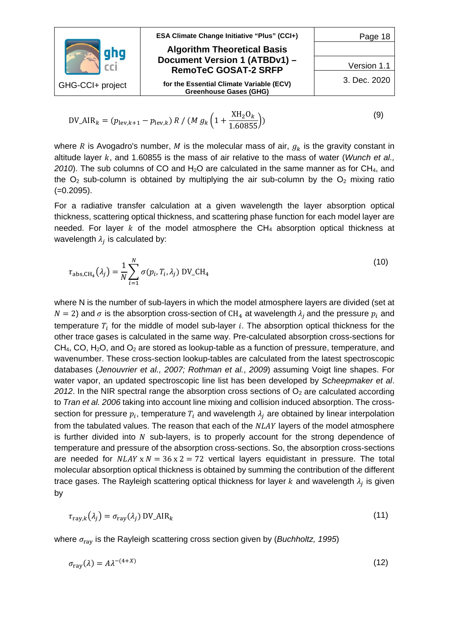|                  | <b>ESA Climate Change Initiative "Plus" (CCI+)</b>                        | Page 18      |
|------------------|---------------------------------------------------------------------------|--------------|
|                  | <b>Algorithm Theoretical Basis</b>                                        |              |
|                  | Document Version 1 (ATBDv1) -<br><b>RemoTeC GOSAT-2 SRFP</b>              | Version 1.1  |
| GHG-CCI+ project | for the Essential Climate Variable (ECV)<br><b>Greenhouse Gases (GHG)</b> | 3. Dec. 2020 |

$$
DV_AIR_k = (p_{\text{lev},k+1} - p_{\text{lev},k}) R / (M g_k \left(1 + \frac{XH_2O_k}{1.60855}\right))
$$
\n(9)

where R is Avogadro's number, M is the molecular mass of air,  $g_k$  is the gravity constant in altitude layer k, and 1.60855 is the mass of air relative to the mass of water (*Wunch et al.*, 2010). The sub columns of CO and H<sub>2</sub>O are calculated in the same manner as for CH<sub>4</sub>, and the  $O<sub>2</sub>$  sub-column is obtained by multiplying the air sub-column by the  $O<sub>2</sub>$  mixing ratio (=0.2095).

For a radiative transfer calculation at a given wavelength the layer absorption optical thickness, scattering optical thickness, and scattering phase function for each model layer are needed. For layer  $k$  of the model atmosphere the CH<sub>4</sub> absorption optical thickness at wavelength  $\lambda_i$  is calculated by:

$$
\tau_{\text{abs,CH}_4}(\lambda_j) = \frac{1}{N} \sum_{i=1}^N \sigma(p_i, T_i, \lambda_j) \text{ DV\_CH}_4
$$
\n(10)

where N is the number of sub-layers in which the model atmosphere layers are divided (set at  $N = 2$ ) and  $\sigma$  is the absorption cross-section of CH<sub>4</sub> at wavelength  $\lambda_i$  and the pressure  $p_i$  and temperature  $T_i$  for the middle of model sub-layer i. The absorption optical thickness for the other trace gases is calculated in the same way. Pre-calculated absorption cross-sections for  $CH<sub>4</sub>, CO, H<sub>2</sub>O, and O<sub>2</sub> are stored as lookup-table as a function of pressure, temperature, and$ wavenumber. These cross-section lookup-tables are calculated from the latest spectroscopic databases (*Jenouvrier et al., 2007; Rothman et al.*, *2009*) assuming Voigt line shapes. For water vapor, an updated spectroscopic line list has been developed by *Scheepmaker et al*. 2012. In the NIR spectral range the absorption cross sections of  $O<sub>2</sub>$  are calculated according to *Tran et al. 2006* taking into account line mixing and collision induced absorption. The crosssection for pressure  $p_i$ , temperature  $T_i$  and wavelength  $\lambda_i$  are obtained by linear interpolation from the tabulated values. The reason that each of the  $NLAY$  lavers of the model atmosphere is further divided into  $N$  sub-layers, is to properly account for the strong dependence of temperature and pressure of the absorption cross-sections. So, the absorption cross-sections are needed for  $NLAY \times N = 36 \times 2 = 72$  vertical layers equidistant in pressure. The total molecular absorption optical thickness is obtained by summing the contribution of the different trace gases. The Rayleigh scattering optical thickness for layer  $k$  and wavelength  $\lambda_i$  is given by

$$
\tau_{\text{ray},k}(\lambda_j) = \sigma_{\text{ray}}(\lambda_j) \text{ DV\_AIR}_k \tag{11}
$$

where  $\sigma_{\text{rav}}$  is the Rayleigh scattering cross section given by (*Buchholtz, 1995*)

$$
\sigma_{\text{ray}}(\lambda) = A\lambda^{-(4+X)}\tag{12}
$$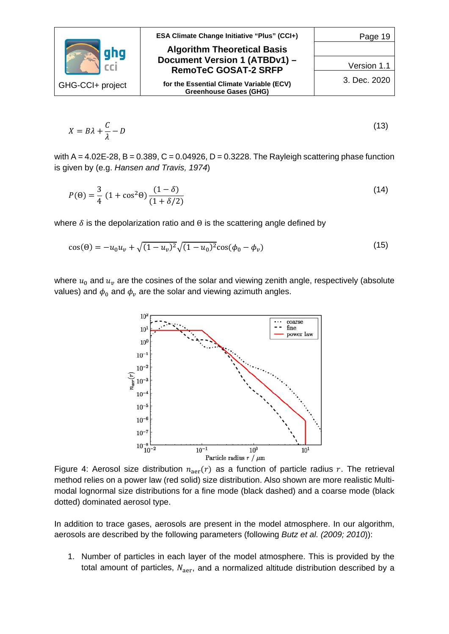|                  | <b>ESA Climate Change Initiative "Plus" (CCI+)</b>                        | Page 19      |
|------------------|---------------------------------------------------------------------------|--------------|
|                  | <b>Algorithm Theoretical Basis</b>                                        |              |
|                  | Document Version 1 (ATBDv1) -<br><b>RemoTeC GOSAT-2 SRFP</b>              | Version 1.1  |
| GHG-CCI+ project | for the Essential Climate Variable (ECV)<br><b>Greenhouse Gases (GHG)</b> | 3. Dec. 2020 |

$$
X = B\lambda + \frac{C}{\lambda} - D \tag{13}
$$

with  $A = 4.02E-28$ ,  $B = 0.389$ ,  $C = 0.04926$ ,  $D = 0.3228$ . The Rayleigh scattering phase function is given by (e.g. *Hansen and Travis, 1974*)

$$
P(\Theta) = \frac{3}{4} (1 + \cos^2 \Theta) \frac{(1 - \delta)}{(1 + \delta/2)}
$$
 (14)

where  $\delta$  is the depolarization ratio and  $\Theta$  is the scattering angle defined by

$$
\cos(\Theta) = -u_0 u_v + \sqrt{(1 - u_v)^2} \sqrt{(1 - u_0)^2} \cos(\phi_0 - \phi_v)
$$
\n(15)

where  $u_0$  and  $u_v$  are the cosines of the solar and viewing zenith angle, respectively (absolute values) and  $\phi_0$  and  $\phi_\nu$  are the solar and viewing azimuth angles.



<span id="page-18-0"></span>Figure 4: Aerosol size distribution  $n_{\text{aer}}(r)$  as a function of particle radius r. The retrieval method relies on a power law (red solid) size distribution. Also shown are more realistic Multimodal lognormal size distributions for a fine mode (black dashed) and a coarse mode (black dotted) dominated aerosol type.

In addition to trace gases, aerosols are present in the model atmosphere. In our algorithm, aerosols are described by the following parameters (following *Butz et al. (2009; 2010*)):

1. Number of particles in each layer of the model atmosphere. This is provided by the total amount of particles,  $N_{\text{aer}}$ , and a normalized altitude distribution described by a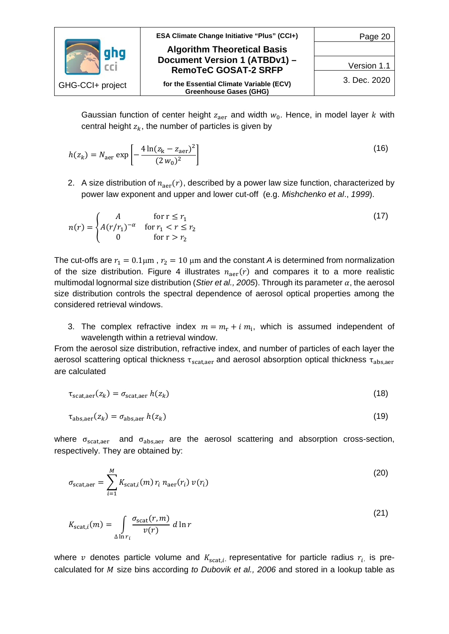|                  | ESA Climate Change Initiative "Plus" (CCI+)                  | Page 20      |
|------------------|--------------------------------------------------------------|--------------|
|                  | <b>Algorithm Theoretical Basis</b>                           |              |
|                  | Document Version 1 (ATBDv1) -<br><b>RemoTeC GOSAT-2 SRFP</b> | Version 1.1  |
| GHG-CCI+ project | for the Essential Climate Variable (ECV)                     | 3. Dec. 2020 |
|                  | <b>Greenhouse Gases (GHG)</b>                                |              |

Gaussian function of center height  $z_{\text{aer}}$  and width  $w_0$ . Hence, in model layer k with central height  $z_k$ , the number of particles is given by

$$
h(z_k) = N_{\text{aer}} \exp\left[-\frac{4\ln(z_k - z_{\text{aer}})^2}{(2\,w_0)^2}\right] \tag{16}
$$

2. A size distribution of  $n_{\text{aer}}(r)$ , described by a power law size function, characterized by power law exponent and upper and lower cut-off (e.g. *Mishchenko et al*., *1999*).

$$
n(r) = \begin{cases} A & \text{for } r \le r_1 \\ A(r/r_1)^{-\alpha} & \text{for } r_1 < r \le r_2 \\ 0 & \text{for } r > r_2 \end{cases}
$$
 (17)

The cut-offs are  $r_1 = 0.1 \mu m$ ,  $r_2 = 10 \mu m$  and the constant *A* is determined from normalization of the size distribution. [Figure 4](#page-18-0) illustrates  $n_{\text{aer}}(r)$  and compares it to a more realistic multimodal lognormal size distribution (*Stier et al., 2005*). Through its parameter  $\alpha$ , the aerosol size distribution controls the spectral dependence of aerosol optical properties among the considered retrieval windows.

3. The complex refractive index  $m = m_r + i m_i$ , which is assumed independent of wavelength within a retrieval window.

From the aerosol size distribution, refractive index, and number of particles of each layer the aerosol scattering optical thickness  $\tau_{\text{scatter}}$  and aerosol absorption optical thickness  $\tau_{\text{abs.}a\text{er}}$ are calculated

$$
\tau_{\text{scat,aer}}(z_k) = \sigma_{\text{scat,aer}} h(z_k)
$$
\n(18)

$$
\tau_{\text{abs,}_}(z_k) = \sigma_{\text{abs,}_} h(z_k) \tag{19}
$$

where  $\sigma_{\text{scat,aer}}$  and  $\sigma_{\text{abs,aer}}$  are the aerosol scattering and absorption cross-section, respectively. They are obtained by:

$$
\sigma_{\text{scat,aer}} = \sum_{i=1}^{M} K_{\text{scat},i}(m) \, r_i \, n_{\text{aer}}(r_i) \, \nu(r_i) \tag{20}
$$

$$
K_{\text{scat},i}(m) = \int_{\Delta \ln r_i} \frac{\sigma_{\text{scat}}(r,m)}{v(r)} \, d\ln r \tag{21}
$$

where  $v$  denotes particle volume and  $K_{scat,i}$ , representative for particle radius  $r_i$ , is precalculated for *M* size bins according *to Dubovik et al., 2006* and stored in a lookup table as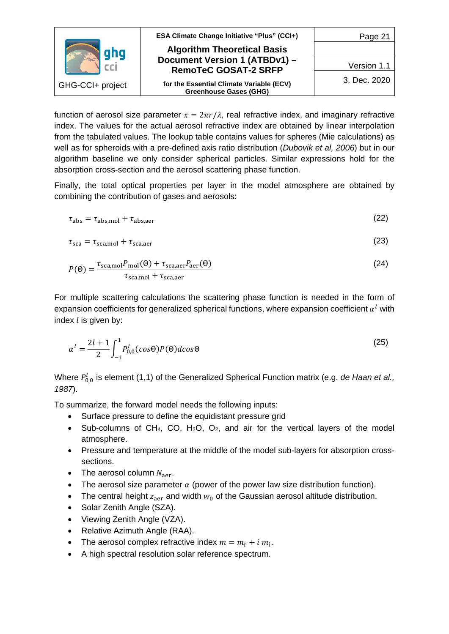

function of aerosol size parameter  $x = 2\pi r/\lambda$ , real refractive index, and imaginary refractive index. The values for the actual aerosol refractive index are obtained by linear interpolation from the tabulated values. The lookup table contains values for spheres (Mie calculations) as well as for spheroids with a pre-defined axis ratio distribution (*Dubovik et al, 2006*) but in our algorithm baseline we only consider spherical particles. Similar expressions hold for the absorption cross-section and the aerosol scattering phase function.

Finally, the total optical properties per layer in the model atmosphere are obtained by combining the contribution of gases and aerosols:

$$
\tau_{\rm abs} = \tau_{\rm abs, mol} + \tau_{\rm abs, aer} \tag{22}
$$

$$
\tau_{\rm sca} = \tau_{\rm sca, mol} + \tau_{\rm sca, aer} \tag{23}
$$

$$
P(\Theta) = \frac{\tau_{\text{scanol}} P_{\text{mol}}(\Theta) + \tau_{\text{sca,aer}} P_{\text{aer}}(\Theta)}{\tau_{\text{sca,mol}} + \tau_{\text{sca,aer}}}
$$
(24)

For multiple scattering calculations the scattering phase function is needed in the form of expansion coefficients for generalized spherical functions, where expansion coefficient  $\alpha^{l}$  with index  $l$  is given by:

$$
\alpha^l = \frac{2l+1}{2} \int_{-1}^1 P_{0,0}^l(\cos\Theta) P(\Theta) d\cos\Theta
$$
 (25)

Where  $P_{0,0}^l$  is element (1,1) of the Generalized Spherical Function matrix (e.g. *de Haan et al., 1987*).

To summarize, the forward model needs the following inputs:

- Surface pressure to define the equidistant pressure grid
- Sub-columns of CH<sub>4</sub>, CO, H<sub>2</sub>O, O<sub>2</sub>, and air for the vertical layers of the model atmosphere.
- Pressure and temperature at the middle of the model sub-layers for absorption crosssections.
- The aerosol column  $N_{\text{aer}}$ .
- The aerosol size parameter  $\alpha$  (power of the power law size distribution function).
- The central height  $z_{\text{aer}}$  and width  $w_0$  of the Gaussian aerosol altitude distribution.
- Solar Zenith Angle (SZA).
- Viewing Zenith Angle (VZA).
- Relative Azimuth Angle (RAA).
- The aerosol complex refractive index  $m = m_r + i m_i$ .
- A high spectral resolution solar reference spectrum.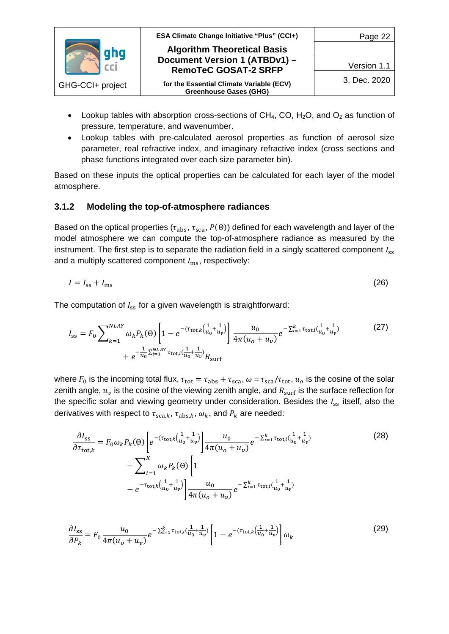

- Lookup tables with absorption cross-sections of  $CH_4$ , CO, H<sub>2</sub>O, and O<sub>2</sub> as function of pressure, temperature, and wavenumber.
- Lookup tables with pre-calculated aerosol properties as function of aerosol size parameter, real refractive index, and imaginary refractive index (cross sections and phase functions integrated over each size parameter bin).

Based on these inputs the optical properties can be calculated for each layer of the model atmosphere.

#### <span id="page-21-0"></span>**3.1.2 Modeling the top-of-atmosphere radiances**

Based on the optical properties ( $\tau_{abs}$ ,  $\tau_{sca}$ ,  $P(\theta)$ ) defined for each wavelength and layer of the model atmosphere we can compute the top-of-atmosphere radiance as measured by the instrument. The first step is to separate the radiation field in a singly scattered component  $I_{ss}$ and a multiply scattered component  $I_{\text{ms}}$ , respectively:

$$
I = I_{\rm ss} + I_{\rm ms} \tag{26}
$$

The computation of  $I_{ss}$  for a given wavelength is straightforward:

$$
I_{ss} = F_0 \sum_{k=1}^{NLAY} \omega_k P_k(\Theta) \left[ 1 - e^{-(\tau_{\text{tot},k} \left( \frac{1}{u_0} + \frac{1}{u_v} \right))} \right] \frac{u_0}{4\pi (u_0 + u_v)} e^{-\sum_{i=1}^k \tau_{\text{tot},i} \left( \frac{1}{u_0} + \frac{1}{u_v} \right)} + e^{-\frac{1}{u_0} \sum_{i=1}^{NLAY} \tau_{\text{tot},i} \left( \frac{1}{u_0} + \frac{1}{u_v} \right)} R_{\text{surf}}
$$
(27)

where  $F_0$  is the incoming total flux,  $\tau_{tot} = \tau_{abs} + \tau_{sca}$ ,  $\omega = \tau_{sca}/\tau_{tot}$ ,  $u_o$  is the cosine of the solar zenith angle,  $u_v$  is the cosine of the viewing zenith angle, and  $R_{\text{surf}}$  is the surface reflection for the specific solar and viewing geometry under consideration. Besides the  $I_{ss}$  itself, also the derivatives with respect to  $\tau_{\text{sc}a,k}$ ,  $\tau_{\text{abs},k}$ ,  $\omega_k$ , and  $P_k$  are needed:

$$
\frac{\partial I_{SS}}{\partial \tau_{\text{tot},k}} = F_0 \omega_k P_k(\Theta) \left[ e^{-(\tau_{\text{tot},k} \left( \frac{1}{u_0} + \frac{1}{u_v} \right))} \right] \frac{u_0}{4\pi (u_0 + u_v)} e^{-\sum_{i=1}^k \tau_{\text{tot},i} \left( \frac{1}{u_0} + \frac{1}{u_v} \right)} \n- \sum_{i=1}^k \omega_k P_k(\Theta) \left[ 1 - e^{-\tau_{\text{tot},k} \left( \frac{1}{u_0} + \frac{1}{u_v} \right)} \right] \frac{u_0}{4\pi (u_0 + u_v)} e^{-\sum_{i=1}^k \tau_{\text{tot},i} \left( \frac{1}{u_0} + \frac{1}{u_v} \right)} \tag{28}
$$

$$
\frac{\partial I_{\rm ss}}{\partial P_k} = F_0 \frac{u_0}{4\pi (u_0 + u_v)} e^{-\sum_{i=1}^k \tau_{\rm tot, i} (\frac{1}{u_0} + \frac{1}{u_v})} \left[ 1 - e^{-(\tau_{\rm tot, k} (\frac{1}{u_0} + \frac{1}{u_v}))} \right] \omega_k
$$
(29)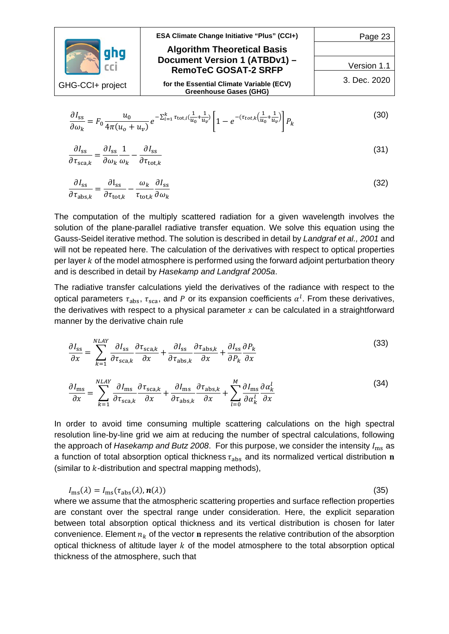|                  | <b>ESA Climate Change Initiative "Plus" (CCI+)</b>                        | Page 23      |
|------------------|---------------------------------------------------------------------------|--------------|
|                  | <b>Algorithm Theoretical Basis</b>                                        |              |
|                  | Document Version 1 (ATBDv1) -<br><b>RemoTeC GOSAT-2 SRFP</b>              | Version 1.1  |
| GHG-CCI+ project | for the Essential Climate Variable (ECV)<br><b>Greenhouse Gases (GHG)</b> | 3. Dec. 2020 |
|                  |                                                                           |              |

$$
\frac{\partial I_{\rm ss}}{\partial \omega_k} = F_0 \frac{u_0}{4\pi (u_0 + u_v)} e^{-\sum_{i=1}^k \tau_{\rm tot, i} (\frac{1}{u_0} + \frac{1}{u_v})} \left[ 1 - e^{-(\tau_{\rm tot, k} (\frac{1}{u_0} + \frac{1}{u_v})} \right] P_k \tag{30}
$$

$$
\frac{\partial I_{\rm ss}}{\partial \tau_{\rm sca,k}} = \frac{\partial I_{\rm ss}}{\partial \omega_k} \frac{1}{\omega_k} - \frac{\partial I_{\rm ss}}{\partial \tau_{\rm tot,k}}
$$
(31)

$$
\frac{\partial I_{\rm ss}}{\partial \tau_{\rm abs,k}} = \frac{\partial I_{\rm ss}}{\partial \tau_{\rm tot,k}} - \frac{\omega_k}{\tau_{\rm tot,k}} \frac{\partial I_{\rm ss}}{\partial \omega_k}
$$
(32)

The computation of the multiply scattered radiation for a given wavelength involves the solution of the plane-parallel radiative transfer equation. We solve this equation using the Gauss-Seidel iterative method. The solution is described in detail by *Landgraf et al., 2001* and will not be repeated here. The calculation of the derivatives with respect to optical properties per layer  $k$  of the model atmosphere is performed using the forward adjoint perturbation theory and is described in detail by *Hasekamp and Landgraf 2005a*.

The radiative transfer calculations yield the derivatives of the radiance with respect to the optical parameters  $\tau_{\rm abs}$ ,  $\tau_{\rm sca}$ , and P or its expansion coefficients  $\alpha^l$ . From these derivatives, the derivatives with respect to a physical parameter  $x$  can be calculated in a straightforward manner by the derivative chain rule

$$
\frac{\partial I_{\rm ss}}{\partial x} = \sum_{k=1}^{NLAY} \frac{\partial I_{\rm ss}}{\partial \tau_{\rm sca,k}} \frac{\partial \tau_{\rm sca,k}}{\partial x} + \frac{\partial I_{\rm ss}}{\partial \tau_{\rm abs,k}} \frac{\partial \tau_{\rm abs,k}}{\partial x} + \frac{\partial I_{\rm ss}}{\partial P_k} \frac{\partial P_k}{\partial x}
$$
(33)

$$
\frac{\partial I_{\rm ms}}{\partial x} = \sum_{k=1}^{NLAY} \frac{\partial I_{\rm ms}}{\partial \tau_{\rm sca,k}} \frac{\partial \tau_{\rm sca,k}}{\partial x} + \frac{\partial I_{\rm ms}}{\partial \tau_{\rm abs,k}} \frac{\partial \tau_{\rm abs,k}}{\partial x} + \sum_{l=0}^{M} \frac{\partial I_{\rm ms}}{\partial \alpha_k^l} \frac{\partial \alpha_k^l}{\partial x}
$$
(34)

In order to avoid time consuming multiple scattering calculations on the high spectral resolution line-by-line grid we aim at reducing the number of spectral calculations, following the approach of *Hasekamp and Butz 2008*. For this purpose, we consider the intensity  $I_{\text{ms}}$  as a function of total absorption optical thickness  $\tau_{\text{abs}}$  and its normalized vertical distribution n (similar to  $k$ -distribution and spectral mapping methods),

 $I_{\text{ms}}(\lambda) = I_{\text{ms}}(\tau_{\text{abs}}(\lambda), n(\lambda))$  (35)

where we assume that the atmospheric scattering properties and surface reflection properties are constant over the spectral range under consideration. Here, the explicit separation between total absorption optical thickness and its vertical distribution is chosen for later convenience. Element  $n_k$  of the vector **n** represents the relative contribution of the absorption optical thickness of altitude layer  $k$  of the model atmosphere to the total absorption optical thickness of the atmosphere, such that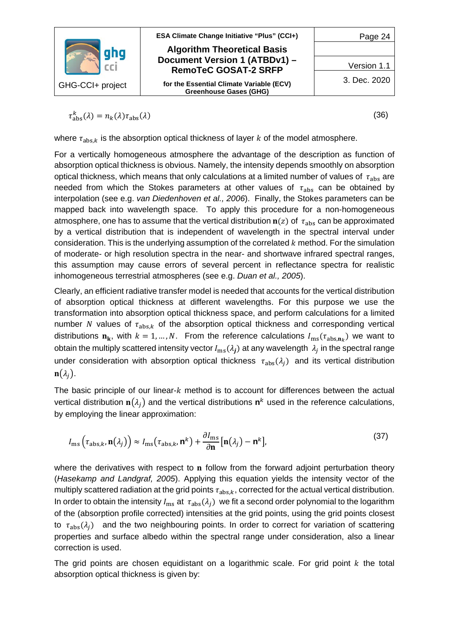

 $\tau_{\text{abs}}^k(\lambda) = n_k(\lambda)\tau_{\text{abs}}(\lambda)$  (36)

where  $\tau_{\text{abs},k}$  is the absorption optical thickness of layer k of the model atmosphere.

For a vertically homogeneous atmosphere the advantage of the description as function of absorption optical thickness is obvious. Namely, the intensity depends smoothly on absorption optical thickness, which means that only calculations at a limited number of values of  $\tau_{\text{abs}}$  are needed from which the Stokes parameters at other values of  $\tau_{\text{abs}}$  can be obtained by interpolation (see e.g. *van Diedenhoven et al., 2006*). Finally, the Stokes parameters can be mapped back into wavelength space. To apply this procedure for a non-homogeneous atmosphere, one has to assume that the vertical distribution  $n(z)$  of  $\tau_{abs}$  can be approximated by a vertical distribution that is independent of wavelength in the spectral interval under consideration. This is the underlying assumption of the correlated  $k$  method. For the simulation of moderate- or high resolution spectra in the near- and shortwave infrared spectral ranges, this assumption may cause errors of several percent in reflectance spectra for realistic inhomogeneous terrestrial atmospheres (see e.g. *Duan et al., 2005*).

Clearly, an efficient radiative transfer model is needed that accounts for the vertical distribution of absorption optical thickness at different wavelengths. For this purpose we use the transformation into absorption optical thickness space, and perform calculations for a limited number N values of  $\tau_{\text{abs},k}$  of the absorption optical thickness and corresponding vertical distributions  $\mathbf{n_k}$ , with  $k = 1, ..., N$ . From the reference calculations  $I_{\text{ms}}(\tau_{\text{abs}})$  we want to obtain the multiply scattered intensity vector  $I_{\text{ms}}(\lambda_j)$  at any wavelength  $\lambda_j$  in the spectral range under consideration with absorption optical thickness  $\tau_{abs}(\lambda_i)$  and its vertical distribution  $\mathbf{n}(\lambda_i)$ .

The basic principle of our linear- $k$  method is to account for differences between the actual vertical distribution  $\mathbf{n}(\lambda_i)$  and the vertical distributions  $\mathbf{n}^k$  used in the reference calculations, by employing the linear approximation:

$$
I_{\rm ms}\left(\tau_{\rm abs,k}, \mathbf{n}(\lambda_j)\right) \approx I_{\rm ms}\left(\tau_{\rm abs,k}, \mathbf{n}^k\right) + \frac{\partial I_{\rm ms}}{\partial \mathbf{n}}\left[\mathbf{n}(\lambda_j) - \mathbf{n}^k\right],\tag{37}
$$

where the derivatives with respect to  $n$  follow from the forward adjoint perturbation theory (*Hasekamp and Landgraf, 2005*). Applying this equation yields the intensity vector of the multiply scattered radiation at the grid points  $\tau_{\text{abs},k}$ , corrected for the actual vertical distribution. In order to obtain the intensity  $I_{\text{ms}}$  at  $\tau_{\text{abs}}(\lambda_i)$  we fit a second order polynomial to the logarithm of the (absorption profile corrected) intensities at the grid points, using the grid points closest to  $\tau_{\text{abs}}(\lambda_i)$  and the two neighbouring points. In order to correct for variation of scattering properties and surface albedo within the spectral range under consideration, also a linear correction is used.

The grid points are chosen equidistant on a logarithmic scale. For grid point  $k$  the total absorption optical thickness is given by: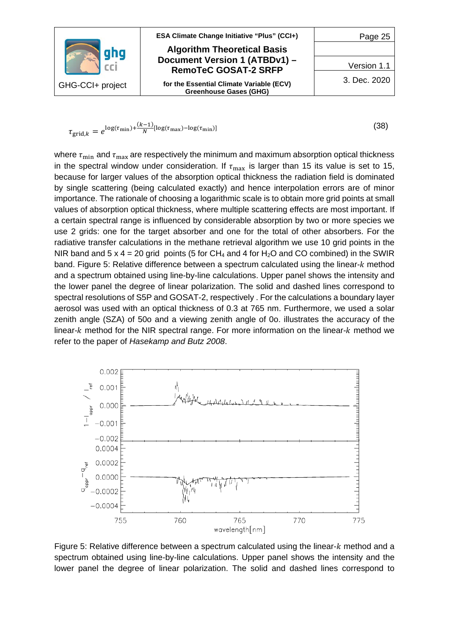

$$
\tau_{\text{grid},k} = e^{\log(\tau_{\text{min}}) + \frac{(k-1)}{N} [\log(\tau_{\text{max}}) - \log(\tau_{\text{min}})]}
$$
(38)

where  $\tau_{\min}$  and  $\tau_{\max}$  are respectively the minimum and maximum absorption optical thickness in the spectral window under consideration. If  $\tau_{\text{max}}$  is larger than 15 its value is set to 15, because for larger values of the absorption optical thickness the radiation field is dominated by single scattering (being calculated exactly) and hence interpolation errors are of minor importance. The rationale of choosing a logarithmic scale is to obtain more grid points at small values of absorption optical thickness, where multiple scattering effects are most important. If a certain spectral range is influenced by considerable absorption by two or more species we use 2 grids: one for the target absorber and one for the total of other absorbers. For the radiative transfer calculations in the methane retrieval algorithm we use 10 grid points in the NIR band and  $5 \times 4 = 20$  grid points (5 for CH<sub>4</sub> and 4 for H<sub>2</sub>O and CO combined) in the SWIR band. Figure 5: [Relative difference between a spectrum calculated using the linear-](#page-24-0) $k$  method [and a spectrum obtained using line-by-line calculations. Upper panel shows the intensity and](#page-24-0)  [the lower panel the degree of linear polarization. The solid and dashed lines correspond to](#page-24-0)  [spectral resolutions of S5P and GOSAT-2, respectively . For the](#page-24-0) calculations a boundary layer [aerosol was used with an optical thickness of 0.3 at 765 nm. Furthermore, we used a solar](#page-24-0)  zenith angle (SZA) of 50o [and a viewing zenith angle of 0o.](#page-24-0) illustrates the accuracy of the linear- $k$  method for the NIR spectral range. For more information on the linear- $k$  method we refer to the paper of *Hasekamp and Butz 2008*.



<span id="page-24-0"></span>Figure 5: Relative difference between a spectrum calculated using the linear- $k$  method and a spectrum obtained using line-by-line calculations. Upper panel shows the intensity and the lower panel the degree of linear polarization. The solid and dashed lines correspond to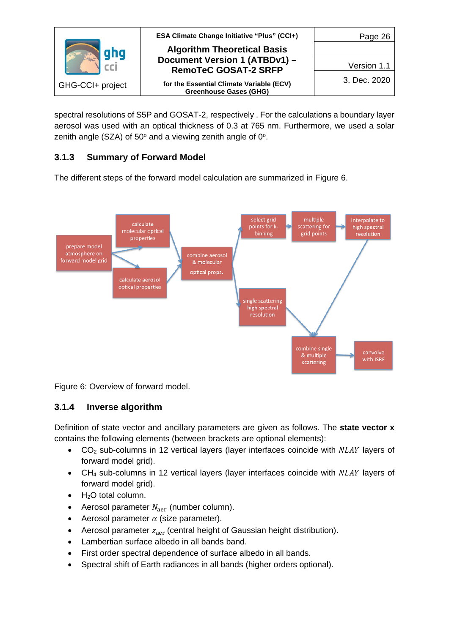|                  | ESA Climate Change Initiative "Plus" (CCI+)                               | Page 26      |
|------------------|---------------------------------------------------------------------------|--------------|
|                  | <b>Algorithm Theoretical Basis</b>                                        |              |
|                  | Document Version 1 (ATBDv1) -<br><b>RemoTeC GOSAT-2 SRFP</b>              | Version 1.1  |
| GHG-CCI+ project | for the Essential Climate Variable (ECV)<br><b>Greenhouse Gases (GHG)</b> | 3. Dec. 2020 |

spectral resolutions of S5P and GOSAT-2, respectively . For the calculations a boundary layer aerosol was used with an optical thickness of 0.3 at 765 nm. Furthermore, we used a solar zenith angle (SZA) of  $50^\circ$  and a viewing zenith angle of  $0^\circ$ .

## <span id="page-25-0"></span>**3.1.3 Summary of Forward Model**

The different steps of the forward model calculation are summarized in [Figure 6.](#page-25-2)



<span id="page-25-2"></span>Figure 6: Overview of forward model.

## <span id="page-25-1"></span>**3.1.4 Inverse algorithm**

Definition of state vector and ancillary parameters are given as follows. The **state vector x** contains the following elements (between brackets are optional elements):

- $CO<sub>2</sub>$  sub-columns in 12 vertical layers (layer interfaces coincide with  $NLAY$  layers of forward model grid).
- CH<sub>4</sub> sub-columns in 12 vertical layers (layer interfaces coincide with NLAY layers of forward model grid).
- $\bullet$  H<sub>2</sub>O total column.
- Aerosol parameter  $N_{\text{a}er}$  (number column).
- Aerosol parameter  $\alpha$  (size parameter).
- Aerosol parameter  $z_{\text{aer}}$  (central height of Gaussian height distribution).
- Lambertian surface albedo in all bands band.
- First order spectral dependence of surface albedo in all bands.
- Spectral shift of Earth radiances in all bands (higher orders optional).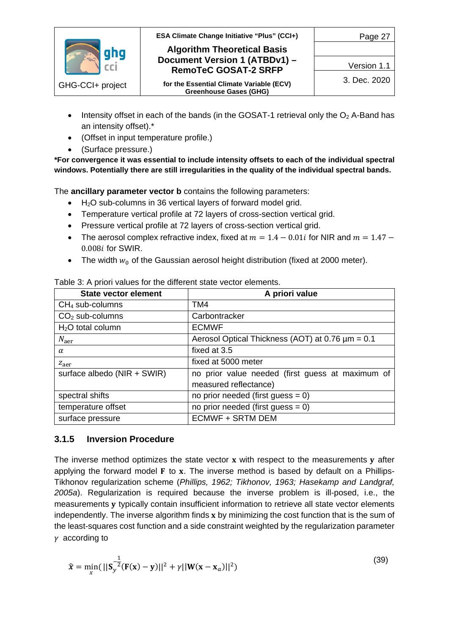

- Intensity offset in each of the bands (in the GOSAT-1 retrieval only the  $O<sub>2</sub>$  A-Band has an intensity offset).\*
- (Offset in input temperature profile.)
- (Surface pressure.)

**\*For convergence it was essential to include intensity offsets to each of the individual spectral windows. Potentially there are still irregularities in the quality of the individual spectral bands.**

The **ancillary parameter vector b** contains the following parameters:

- H<sub>2</sub>O sub-columns in 36 vertical layers of forward model grid.
- Temperature vertical profile at 72 layers of cross-section vertical grid.
- Pressure vertical profile at 72 layers of cross-section vertical grid.
- The aerosol complex refractive index, fixed at  $m = 1.4 0.01i$  for NIR and  $m = 1.47 0.01i$  $0.008i$  for SWIR.
- The width  $w_0$  of the Gaussian aerosol height distribution (fixed at 2000 meter).

| <b>State vector element</b> | A priori value                                        |
|-----------------------------|-------------------------------------------------------|
| $CH4$ sub-columns           | TM4                                                   |
| $CO2$ sub-columns           | Carbontracker                                         |
| $H2O$ total column          | <b>ECMWF</b>                                          |
| $N_{\text{a}er}$            | Aerosol Optical Thickness (AOT) at 0.76 $\mu$ m = 0.1 |
| $\alpha$                    | fixed at 3.5                                          |
| $Z_{\text{a}er}$            | fixed at 5000 meter                                   |
| surface albedo (NIR + SWIR) | no prior value needed (first guess at maximum of      |
|                             | measured reflectance)                                 |
| spectral shifts             | no prior needed (first guess $= 0$ )                  |
| temperature offset          | no prior needed (first guess $= 0$ )                  |
| surface pressure            | <b>ECMWF + SRTM DEM</b>                               |

<span id="page-26-1"></span>Table 3: A priori values for the different state vector elements.

## <span id="page-26-0"></span>**3.1.5 Inversion Procedure**

The inverse method optimizes the state vector  $x$  with respect to the measurements  $y$  after applying the forward model  $F$  to  $x$ . The inverse method is based by default on a Phillips-Tikhonov regularization scheme (*Phillips, 1962; Tikhonov, 1963; Hasekamp and Landgraf, 2005a*). Regularization is required because the inverse problem is ill-posed, i.e., the measurements y typically contain insufficient information to retrieve all state vector elements independently. The inverse algorithm finds  $x$  by minimizing the cost function that is the sum of the least-squares cost function and a side constraint weighted by the regularization parameter  $\gamma$  according to

$$
\hat{\mathbf{x}} = \min_{x} (||\mathbf{S}_y^{-\frac{1}{2}} (\mathbf{F}(\mathbf{x}) - \mathbf{y})||^2 + \gamma ||\mathbf{W}(\mathbf{x} - \mathbf{x}_a)||^2)
$$
(39)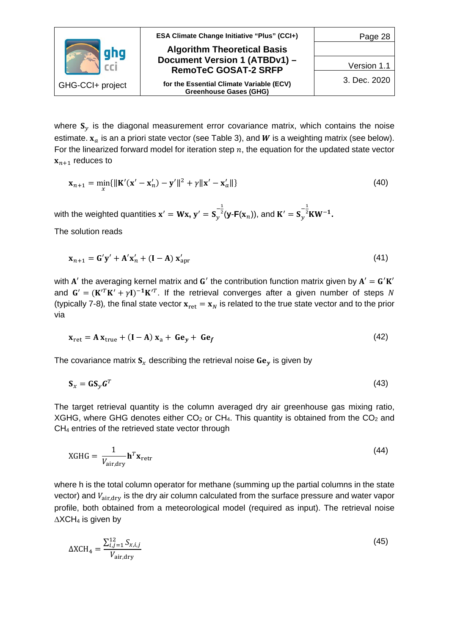|                  | <b>ESA Climate Change Initiative "Plus" (CCI+)</b>                        | Page 28      |
|------------------|---------------------------------------------------------------------------|--------------|
|                  | <b>Algorithm Theoretical Basis</b>                                        |              |
|                  | Document Version 1 (ATBDv1) -<br><b>RemoTeC GOSAT-2 SRFP</b>              | Version 1.1  |
| GHG-CCI+ project | for the Essential Climate Variable (ECV)<br><b>Greenhouse Gases (GHG)</b> | 3. Dec. 2020 |

where  $S_y$  is the diagonal measurement error covariance matrix, which contains the noise estimate.  $x_a$  is an a priori state vector (see [Table 3](#page-26-1)), and W is a weighting matrix (see below). For the linearized forward model for iteration step  $n$ , the equation for the updated state vector  $x_{n+1}$  reduces to

$$
\mathbf{x}_{n+1} = \min_{x} {\| \mathbf{K}'(\mathbf{x}' - \mathbf{x}'_n) - \mathbf{y}' \|^2 + \gamma \| \mathbf{x}' - \mathbf{x}'_a \|} \tag{40}
$$

with the weighted quantities  $\mathbf{x}' = \mathbf{W}\mathbf{x}$ ,  $\mathbf{y}' = \mathbf{S}_y$  $-\frac{1}{2}$  $^{2}$ (**y**-**F**(**x**<sub>n</sub>)), and **K**<sup> $\prime$ </sup> = **S**<sub>*y*</sub>  $-\frac{1}{2}$ <sup>2</sup>**KW<sup>-1</sup>.** 

The solution reads

$$
\mathbf{x}_{n+1} = \mathbf{G}'\mathbf{y}' + \mathbf{A}'\mathbf{x}'_n + (\mathbf{I} - \mathbf{A})\mathbf{x}'_{\text{apr}}
$$
(41)

with  $A'$  the averaging kernel matrix and  $G'$  the contribution function matrix given by  $A' = G'K'$ and  $G' = (K'^T K' + \gamma I)^{-1} K'^T$ . If the retrieval converges after a given number of steps N (typically 7-8), the final state vector  $x_{\text{ret}} = x_N$  is related to the true state vector and to the prior via

$$
\mathbf{x}_{\text{ret}} = \mathbf{A} \, \mathbf{x}_{\text{true}} + (\mathbf{I} - \mathbf{A}) \, \mathbf{x}_a + \mathbf{G} \mathbf{e}_y + \mathbf{G} \mathbf{e}_f \tag{42}
$$

The covariance matrix  $S<sub>x</sub>$  describing the retrieval noise  $Ge<sub>v</sub>$  is given by

$$
\mathbf{S}_x = \mathbf{G} \mathbf{S}_y \mathbf{G}^T \tag{43}
$$

The target retrieval quantity is the column averaged dry air greenhouse gas mixing ratio, XGHG, where GHG denotes either  $CO<sub>2</sub>$  or CH<sub>4</sub>. This quantity is obtained from the  $CO<sub>2</sub>$  and CH4 entries of the retrieved state vector through

$$
XGHG = \frac{1}{V_{\text{air,dry}}} \mathbf{h}^T \mathbf{x}_{\text{retr}} \tag{44}
$$

where h is the total column operator for methane (summing up the partial columns in the state vector) and  $V_{\text{air,dry}}$  is the dry air column calculated from the surface pressure and water vapor profile, both obtained from a meteorological model (required as input). The retrieval noise  $\Delta$ XCH<sub>4</sub> is given by

$$
\Delta XCH_4 = \frac{\sum_{i,j=1}^{12} S_{x,i,j}}{V_{\rm air, dry}}\tag{45}
$$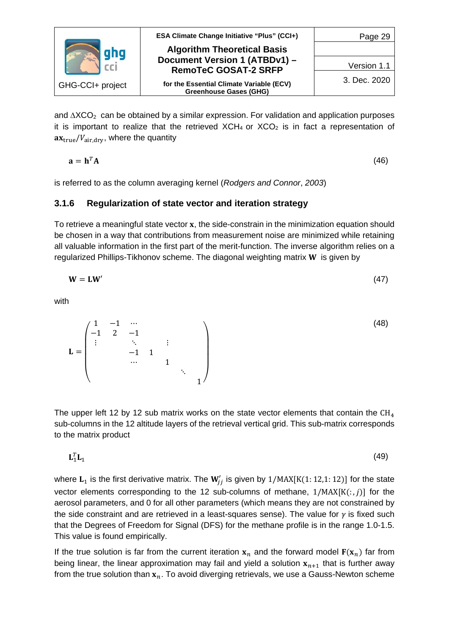

and  $\Delta XCO_2$  can be obtained by a similar expression. For validation and application purposes it is important to realize that the retrieved  $XCH_4$  or  $XCO_2$  is in fact a representation of  $ax_{true}/V_{air, dry}$ , where the quantity

$$
\mathbf{a} = \mathbf{h}^T \mathbf{A} \tag{46}
$$

is referred to as the column averaging kernel (*Rodgers and Connor*, *2003*)

#### <span id="page-28-0"></span>**3.1.6 Regularization of state vector and iteration strategy**

To retrieve a meaningful state vector  $x$ , the side-constrain in the minimization equation should be chosen in a way that contributions from measurement noise are minimized while retaining all valuable information in the first part of the merit-function. The inverse algorithm relies on a regularized Phillips-Tikhonov scheme. The diagonal weighting matrix **W** is given by

$$
W = LW'
$$
 (47)

with

 $\mathbf{r} =$  $\lambda$  $\mathsf{L}$  $\mathsf{L}$  $\mathsf{L}$  $\mathsf{I}$ 1 −1 ⋯ −1 2 −1  $\ddot{\textbf{i}}$ −1 1  $\cdots$  1 ⋱  $1<sup>′</sup>$  $\overline{\phantom{a}}$  $\blacksquare$ ⎟ ⎞ (48)

The upper left 12 by 12 sub matrix works on the state vector elements that contain the  $CH<sub>4</sub>$ sub-columns in the 12 altitude layers of the retrieval vertical grid. This sub-matrix corresponds to the matrix product

$$
\mathbf{L}_1^T \mathbf{L}_1 \tag{49}
$$

where  ${\bf L_1}$  is the first derivative matrix. The  ${\bf W}_{jj}'$  is given by  $1/{\rm MAX}[{\rm K}(1:12,1:12)]$  for the state vector elements corresponding to the 12 sub-columns of methane,  $1/MAX[K(:, j)]$  for the aerosol parameters, and 0 for all other parameters (which means they are not constrained by the side constraint and are retrieved in a least-squares sense). The value for  $\gamma$  is fixed such that the Degrees of Freedom for Signal (DFS) for the methane profile is in the range 1.0-1.5. This value is found empirically.

If the true solution is far from the current iteration  $x_n$  and the forward model  $F(x_n)$  far from being linear, the linear approximation may fail and yield a solution  $x_{n+1}$  that is further away from the true solution than  $x_n$ . To avoid diverging retrievals, we use a Gauss-Newton scheme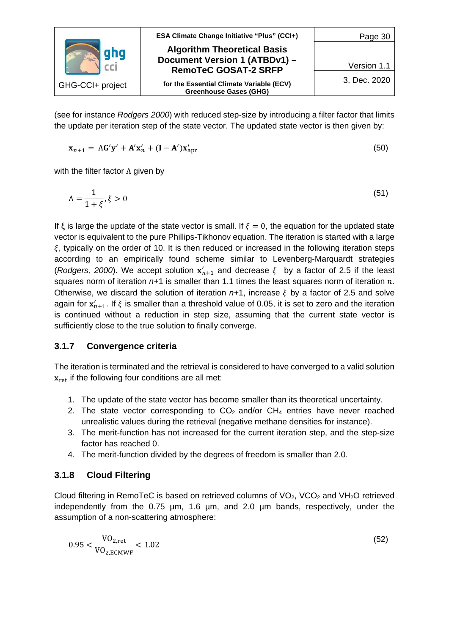|                  | <b>ESA Climate Change Initiative "Plus" (CCI+)</b>           | Page 30      |
|------------------|--------------------------------------------------------------|--------------|
|                  | <b>Algorithm Theoretical Basis</b>                           |              |
|                  | Document Version 1 (ATBDv1) -<br><b>RemoTeC GOSAT-2 SRFP</b> | Version 1.1  |
| GHG-CCI+ project | for the Essential Climate Variable (ECV)                     | 3. Dec. 2020 |
|                  | <b>Greenhouse Gases (GHG)</b>                                |              |

(see for instance *Rodgers 2000*) with reduced step-size by introducing a filter factor that limits the update per iteration step of the state vector. The updated state vector is then given by:

$$
\mathbf{x}_{n+1} = \Lambda \mathbf{G}' \mathbf{y}' + \mathbf{A}' \mathbf{x}'_n + (\mathbf{I} - \mathbf{A}') \mathbf{x}'_{\text{apr}}
$$
(50)

with the filter factor  $\Lambda$  given by

$$
\Lambda = \frac{1}{1+\xi}, \xi > 0 \tag{51}
$$

If  $\xi$  is large the update of the state vector is small. If  $\xi = 0$ , the equation for the updated state vector is equivalent to the pure Phillips-Tikhonov equation. The iteration is started with a large  $\xi$ , typically on the order of 10. It is then reduced or increased in the following iteration steps according to an empirically found scheme similar to Levenberg-Marquardt strategies (*Rodgers, 2000*). We accept solution  $x'_{n+1}$  and decrease  $\xi$  by a factor of 2.5 if the least squares norm of iteration  $n+1$  is smaller than 1.1 times the least squares norm of iteration  $n$ . Otherwise, we discard the solution of iteration  $n+1$ , increase  $\xi$  by a factor of 2.5 and solve again for  $x'_{n+1}$ . If  $\xi$  is smaller than a threshold value of 0.05, it is set to zero and the iteration is continued without a reduction in step size, assuming that the current state vector is sufficiently close to the true solution to finally converge.

#### <span id="page-29-0"></span>**3.1.7 Convergence criteria**

The iteration is terminated and the retrieval is considered to have converged to a valid solution  $x_{\text{ref}}$  if the following four conditions are all met:

- 1. The update of the state vector has become smaller than its theoretical uncertainty.
- 2. The state vector corresponding to  $CO<sub>2</sub>$  and/or  $CH<sub>4</sub>$  entries have never reached unrealistic values during the retrieval (negative methane densities for instance).
- 3. The merit-function has not increased for the current iteration step, and the step-size factor has reached 0.
- 4. The merit-function divided by the degrees of freedom is smaller than 2.0.

## <span id="page-29-1"></span>**3.1.8 Cloud Filtering**

Cloud filtering in RemoTeC is based on retrieved columns of  $VO<sub>2</sub>$ , VCO<sub>2</sub> and VH<sub>2</sub>O retrieved independently from the 0.75 µm, 1.6 µm, and 2.0 µm bands, respectively, under the assumption of a non-scattering atmosphere:

$$
0.95 < \frac{VO_{2,ret}}{VO_{2,ECMWF}} < 1.02 \tag{52}
$$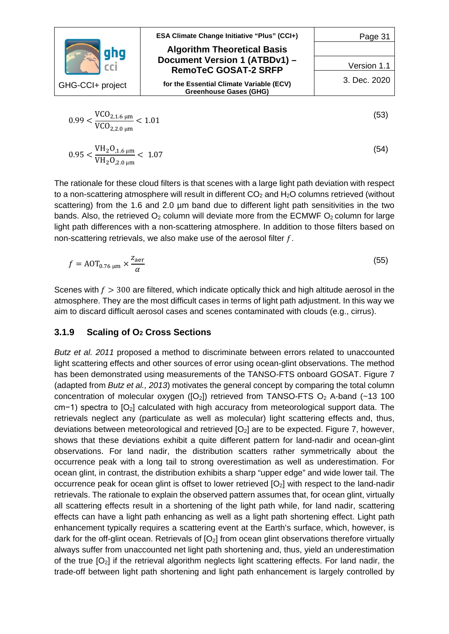|                                             | ESA Climate Change Initiative "Plus" (CCI+)                               | Page 31      |
|---------------------------------------------|---------------------------------------------------------------------------|--------------|
| ghg                                         | <b>Algorithm Theoretical Basis</b>                                        |              |
|                                             | Document Version 1 (ATBDv1) -<br><b>RemoTeC GOSAT-2 SRFP</b>              | Version 1.1  |
| GHG-CCI+ project                            | for the Essential Climate Variable (ECV)<br><b>Greenhouse Gases (GHG)</b> | 3. Dec. 2020 |
| $VCO_{2.1.6~\mu m}$<br>$\sim$ $\sim$ $\sim$ |                                                                           | 53           |

$$
0.99 < \frac{\text{VCO}_{2,1.6\,\mu\text{m}}}{\text{VCO}_{2,2.0\,\mu\text{m}}} < 1.01
$$
\n
$$
\text{VH} \cdot \text{O} \tag{53}
$$

$$
0.95 < \frac{\text{VH}_2\text{O}_{1.6\,\mu\text{m}}}{\text{VH}_2\text{O}_{2.0\,\mu\text{m}}} < 1.07 \tag{54}
$$

The rationale for these cloud filters is that scenes with a large light path deviation with respect to a non-scattering atmosphere will result in different  $CO<sub>2</sub>$  and  $H<sub>2</sub>O$  columns retrieved (without scattering) from the 1.6 and 2.0 µm band due to different light path sensitivities in the two bands. Also, the retrieved  $O_2$  column will deviate more from the ECMWF  $O_2$  column for large light path differences with a non-scattering atmosphere. In addition to those filters based on non-scattering retrievals, we also make use of the aerosol filter  $f$ .

$$
f = A O T_{0.76 \, \mu \text{m}} \times \frac{Z_{\text{aer}}}{\alpha} \tag{55}
$$

Scenes with  $f > 300$  are filtered, which indicate optically thick and high altitude aerosol in the atmosphere. They are the most difficult cases in terms of light path adjustment. In this way we aim to discard difficult aerosol cases and scenes contaminated with clouds (e.g., cirrus).

#### <span id="page-30-0"></span>**3.1.9 Scaling of O2 Cross Sections**

*Butz et al. 2011* proposed a method to discriminate between errors related to unaccounted light scattering effects and other sources of error using ocean-glint observations. The method has been demonstrated using measurements of the TANSO-FTS onboard GOSAT. [Figure 7](#page-32-0) (adapted from *Butz et al., 2013*) motivates the general concept by comparing the total column concentration of molecular oxygen ( $[O_2]$ ) retrieved from TANSO-FTS  $O_2$  A-band (~13 100 cm−1) spectra to [O<sub>2</sub>] calculated with high accuracy from meteorological support data. The retrievals neglect any (particulate as well as molecular) light scattering effects and, thus, deviations between meteorological and retrieved  $[O<sub>2</sub>]$  are to be expected. [Figure 7,](#page-32-0) however, shows that these deviations exhibit a quite different pattern for land-nadir and ocean-glint observations. For land nadir, the distribution scatters rather symmetrically about the occurrence peak with a long tail to strong overestimation as well as underestimation. For ocean glint, in contrast, the distribution exhibits a sharp "upper edge" and wide lower tail. The occurrence peak for ocean glint is offset to lower retrieved [O2] with respect to the land-nadir retrievals. The rationale to explain the observed pattern assumes that, for ocean glint, virtually all scattering effects result in a shortening of the light path while, for land nadir, scattering effects can have a light path enhancing as well as a light path shortening effect. Light path enhancement typically requires a scattering event at the Earth's surface, which, however, is dark for the off-glint ocean. Retrievals of  $[O_2]$  from ocean glint observations therefore virtually always suffer from unaccounted net light path shortening and, thus, yield an underestimation of the true  $[O_2]$  if the retrieval algorithm neglects light scattering effects. For land nadir, the trade-off between light path shortening and light path enhancement is largely controlled by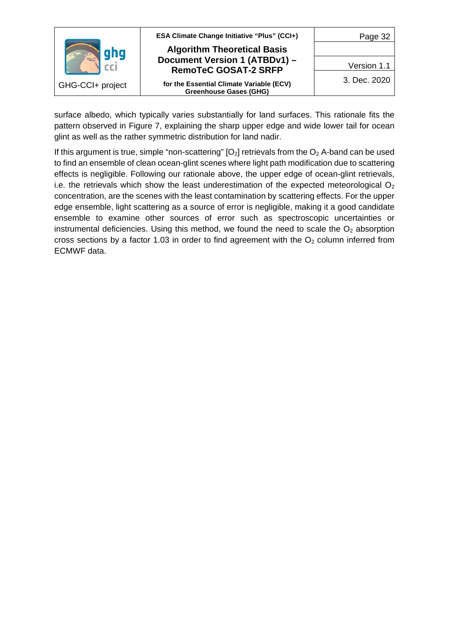|                  | <b>ESA Climate Change Initiative "Plus" (CCI+)</b>           | Page 32      |
|------------------|--------------------------------------------------------------|--------------|
|                  | <b>Algorithm Theoretical Basis</b>                           |              |
|                  | Document Version 1 (ATBDv1) -<br><b>RemoTeC GOSAT-2 SRFP</b> | Version 1.1  |
| GHG-CCI+ project | for the Essential Climate Variable (ECV)                     | 3. Dec. 2020 |
|                  | <b>Greenhouse Gases (GHG)</b>                                |              |

surface albedo, which typically varies substantially for land surfaces. This rationale fits the pattern observed in [Figure 7,](#page-32-0) explaining the sharp upper edge and wide lower tail for ocean glint as well as the rather symmetric distribution for land nadir.

If this argument is true, simple "non-scattering"  $[O_2]$  retrievals from the  $O_2$  A-band can be used to find an ensemble of clean ocean-glint scenes where light path modification due to scattering effects is negligible. Following our rationale above, the upper edge of ocean-glint retrievals, i.e. the retrievals which show the least underestimation of the expected meteorological  $O<sub>2</sub>$ concentration, are the scenes with the least contamination by scattering effects. For the upper edge ensemble, light scattering as a source of error is negligible, making it a good candidate ensemble to examine other sources of error such as spectroscopic uncertainties or instrumental deficiencies. Using this method, we found the need to scale the  $O<sub>2</sub>$  absorption cross sections by a factor 1.03 in order to find agreement with the  $O<sub>2</sub>$  column inferred from ECMWF data.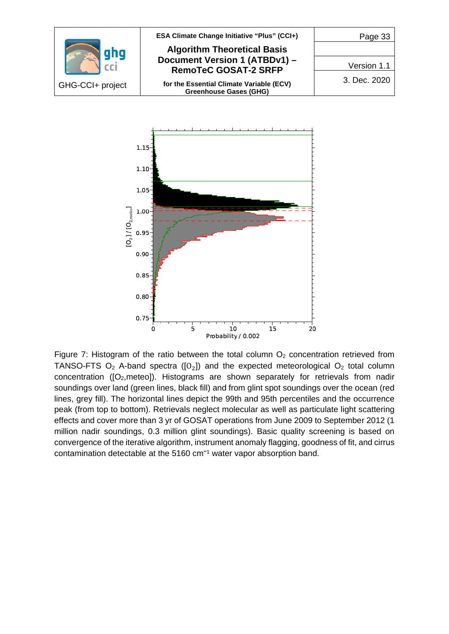



<span id="page-32-0"></span>Figure 7: Histogram of the ratio between the total column  $O<sub>2</sub>$  concentration retrieved from TANSO-FTS  $O_2$  A-band spectra ( $[O_2]$ ) and the expected meteorological  $O_2$  total column concentration ( $[O_2,$ meteo]). Histograms are shown separately for retrievals from nadir soundings over land (green lines, black fill) and from glint spot soundings over the ocean (red lines, grey fill). The horizontal lines depict the 99th and 95th percentiles and the occurrence peak (from top to bottom). Retrievals neglect molecular as well as particulate light scattering effects and cover more than 3 yr of GOSAT operations from June 2009 to September 2012 (1 million nadir soundings, 0.3 million glint soundings). Basic quality screening is based on convergence of the iterative algorithm, instrument anomaly flagging, goodness of fit, and cirrus contamination detectable at the 5160 cm**<sup>−</sup>**<sup>1</sup> water vapor absorption band.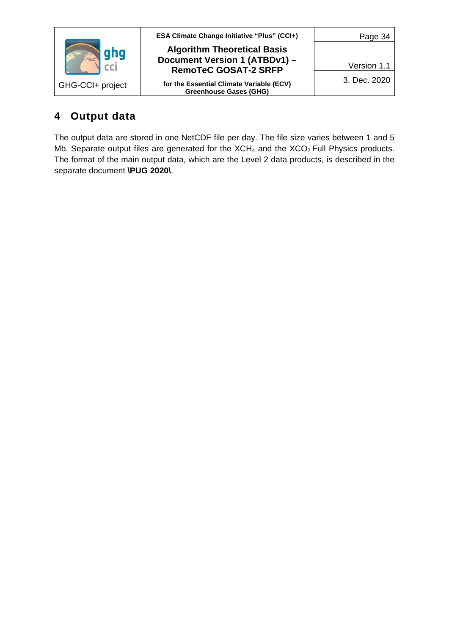|                  | ESA Climate Change Initiative "Plus" (CCI+)                  | Page 34      |
|------------------|--------------------------------------------------------------|--------------|
|                  | <b>Algorithm Theoretical Basis</b>                           |              |
|                  | Document Version 1 (ATBDv1) -<br><b>RemoTeC GOSAT-2 SRFP</b> | Version 1.1  |
| GHG-CCI+ project | for the Essential Climate Variable (ECV)                     | 3. Dec. 2020 |
|                  | <b>Greenhouse Gases (GHG)</b>                                |              |

# <span id="page-33-0"></span>**4 Output data**

The output data are stored in one NetCDF file per day. The file size varies between 1 and 5 Mb. Separate output files are generated for the  $XCH<sub>4</sub>$  and the  $XCO<sub>2</sub>$  Full Physics products. The format of the main output data, which are the Level 2 data products, is described in the separate document **\PUG 2020\**.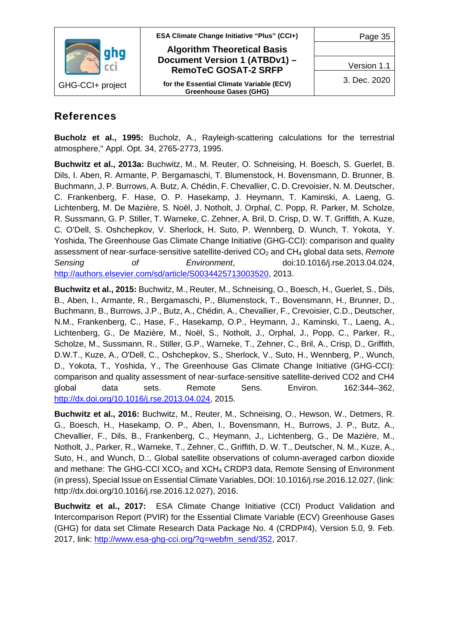

## <span id="page-34-0"></span>**References**

**Bucholz et al., 1995:** Bucholz, A., Rayleigh-scattering calculations for the terrestrial atmosphere," Appl. Opt. 34, 2765-2773, 1995.

**Buchwitz et al., 2013a:** Buchwitz, M., M. Reuter, O. Schneising, H. Boesch, S. Guerlet, B. Dils, I. Aben, R. Armante, P. Bergamaschi, T. Blumenstock, H. Bovensmann, D. Brunner, B. Buchmann, J. P. Burrows, A. Butz, A. Chédin, F. Chevallier, C. D. Crevoisier, N. M. Deutscher, C. Frankenberg, F. Hase, O. P. Hasekamp, J. Heymann, T. Kaminski, A. Laeng, G. Lichtenberg, M. De Mazière, S. Noël, J. Notholt, J. Orphal, C. Popp, R. Parker, M. Scholze, R. Sussmann, G. P. Stiller, T. Warneke, C. Zehner, A. Bril, D. Crisp, D. W. T. Griffith, A. Kuze, C. O'Dell, S. Oshchepkov, V. Sherlock, H. Suto, P. Wennberg, D. Wunch, T. Yokota, Y. Yoshida, The Greenhouse Gas Climate Change Initiative (GHG-CCI): comparison and quality assessment of near-surface-sensitive satellite-derived CO<sub>2</sub> and CH<sub>4</sub> global data sets, *Remote Sensing of Environment*, doi:10.1016/j.rse.2013.04.024, [http://authors.elsevier.com/sd/article/S0034425713003520,](http://authors.elsevier.com/sd/article/S0034425713003520) 2013.

**Buchwitz et al., 2015:** Buchwitz, M., Reuter, M., Schneising, O., Boesch, H., Guerlet, S., Dils, B., Aben, I., Armante, R., Bergamaschi, P., Blumenstock, T., Bovensmann, H., Brunner, D., Buchmann, B., Burrows, J.P., Butz, A., Chédin, A., Chevallier, F., Crevoisier, C.D., Deutscher, N.M., Frankenberg, C., Hase, F., Hasekamp, O.P., Heymann, J., Kaminski, T., Laeng, A., Lichtenberg, G., De Mazière, M., Noël, S., Notholt, J., Orphal, J., Popp, C., Parker, R., Scholze, M., Sussmann, R., Stiller, G.P., Warneke, T., Zehner, C., Bril, A., Crisp, D., Griffith, D.W.T., Kuze, A., O'Dell, C., Oshchepkov, S., Sherlock, V., Suto, H., Wennberg, P., Wunch, D., Yokota, T., Yoshida, Y., The Greenhouse Gas Climate Change Initiative (GHG-CCI): comparison and quality assessment of near-surface-sensitive satellite-derived CO2 and CH4 global data sets. Remote Sens. Environ. 162:344–362, [http://dx.doi.org/10.1016/j.rse.2013.04.024,](http://dx.doi.org/10.1016/j.rse.2013.04.024) 2015.

**Buchwitz et al., 2016:** Buchwitz, M., Reuter, M., Schneising, O., Hewson, W., Detmers, R. G., Boesch, H., Hasekamp, O. P., Aben, I., Bovensmann, H., Burrows, J. P., Butz, A., Chevallier, F., Dils, B., Frankenberg, C., Heymann, J., Lichtenberg, G., De Mazière, M., Notholt, J., Parker, R., Warneke, T., Zehner, C., Griffith, D. W. T., Deutscher, N. M., Kuze, A., Suto, H., and Wunch, D.:, Global satellite observations of column-averaged carbon dioxide and methane: The GHG-CCI XCO<sub>2</sub> and XCH<sub>4</sub> CRDP3 data, Remote Sensing of Environment (in press), Special Issue on Essential Climate Variables, DOI: 10.1016/j.rse.2016.12.027, (link: http://dx.doi.org/10.1016/j.rse.2016.12.027), 2016.

**Buchwitz et al., 2017:** ESA Climate Change Initiative (CCI) Product Validation and Intercomparison Report (PVIR) for the Essential Climate Variable (ECV) Greenhouse Gases (GHG) for data set Climate Research Data Package No. 4 (CRDP#4), Version 5.0, 9. Feb. 2017, link: [http://www.esa-ghg-cci.org/?q=webfm\\_send/352,](http://www.esa-ghg-cci.org/?q=webfm_send/352) 2017.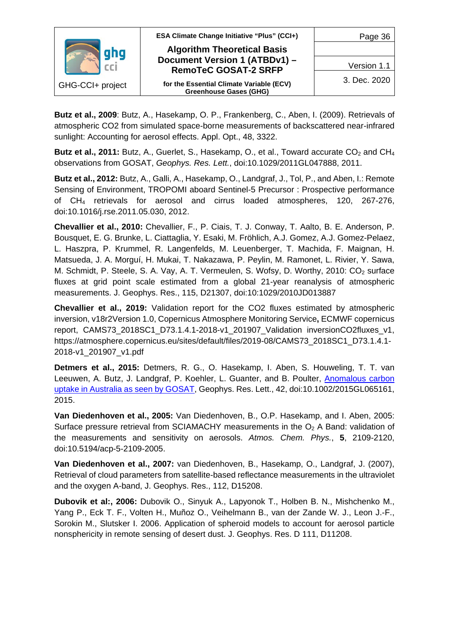

**Butz et al., 2009**: Butz, A., Hasekamp, O. P., Frankenberg, C., Aben, I. (2009). Retrievals of atmospheric CO2 from simulated space-borne measurements of backscattered near-infrared sunlight: Accounting for aerosol effects. Appl. Opt., 48, 3322.

**Butz et al., 2011:** Butz, A., Guerlet, S., Hasekamp, O., et al., Toward accurate CO<sub>2</sub> and CH<sub>4</sub> observations from GOSAT, *Geophys. Res. Lett.*, doi:10.1029/2011GL047888, 2011.

**Butz et al., 2012:** Butz, A., Galli, A., Hasekamp, O., Landgraf, J., Tol, P., and Aben, I.: Remote Sensing of Environment, TROPOMI aboard Sentinel-5 Precursor : Prospective performance of CH4 retrievals for aerosol and cirrus loaded atmospheres, 120, 267-276, doi:10.1016/j.rse.2011.05.030, 2012.

**Chevallier et al., 2010:** Chevallier, F., P. Ciais, T. J. Conway, T. Aalto, B. E. Anderson, P. Bousquet, E. G. Brunke, L. Ciattaglia, Y. Esaki, M. Fröhlich, A.J. Gomez, A.J. Gomez-Pelaez, L. Haszpra, P. Krummel, R. Langenfelds, M. Leuenberger, T. Machida, F. Maignan, H. Matsueda, J. A. Morguí, H. Mukai, T. Nakazawa, P. Peylin, M. Ramonet, L. Rivier, Y. Sawa, M. Schmidt, P. Steele, S. A. Vay, A. T. Vermeulen, S. Wofsy, D. Worthy, 2010: CO<sub>2</sub> surface fluxes at grid point scale estimated from a global 21-year reanalysis of atmospheric measurements. J. Geophys. Res., 115, D21307, doi:10:1029/2010JD013887

**Chevallier et al., 2019:** Validation report for the CO2 fluxes estimated by atmospheric inversion, v18r2Version 1.0, Copernicus Atmosphere Monitoring Service**,** ECMWF copernicus report, CAMS73\_2018SC1\_D73.1.4.1-2018-v1\_201907\_Validation inversionCO2fluxes\_v1, https://atmosphere.copernicus.eu/sites/default/files/2019-08/CAMS73\_2018SC1\_D73.1.4.1- 2018-v1\_201907\_v1.pdf

**Detmers et al., 2015:** Detmers, R. G., O. Hasekamp, I. Aben, S. Houweling, T. T. van Leeuwen, A. Butz, J. Landgraf, P. Koehler, L. Guanter, and B. Poulter, [Anomalous carbon](http://onlinelibrary.wiley.com/doi/10.1002/2015GL065161/full)  [uptake in Australia as seen by GOSAT,](http://onlinelibrary.wiley.com/doi/10.1002/2015GL065161/full) Geophys. Res. Lett., 42, doi:10.1002/2015GL065161, 2015.

**Van Diedenhoven et al., 2005:** Van Diedenhoven, B., O.P. Hasekamp, and I. Aben, 2005: Surface pressure retrieval from SCIAMACHY measurements in the  $O<sub>2</sub>$  A Band: validation of the measurements and sensitivity on aerosols. *Atmos. Chem. Phys.*, **5**, 2109-2120, doi:10.5194/acp-5-2109-2005.

**Van Diedenhoven et al., 2007:** van Diedenhoven, B., Hasekamp, O., Landgraf, J. (2007), Retrieval of cloud parameters from satellite-based reflectance measurements in the ultraviolet and the oxygen A-band, J. Geophys. Res., 112, D15208.

**Dubovik et al:, 2006:** Dubovik O., Sinyuk A., Lapyonok T., Holben B. N., Mishchenko M., Yang P., Eck T. F., Volten H., Muñoz O., Veihelmann B., van der Zande W. J., Leon J.-F., Sorokin M., Slutsker I. 2006. Application of spheroid models to account for aerosol particle nonsphericity in remote sensing of desert dust. J. Geophys. Res. D 111, D11208.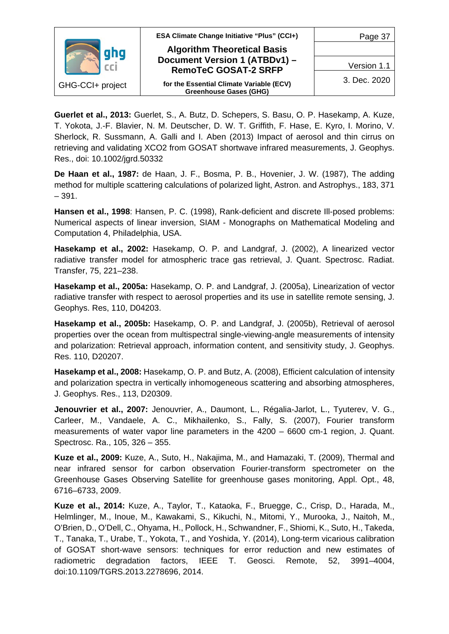

**Guerlet et al., 2013:** Guerlet, S., A. Butz, D. Schepers, S. Basu, O. P. Hasekamp, A. Kuze, T. Yokota, J.-F. Blavier, N. M. Deutscher, D. W. T. Griffith, F. Hase, E. Kyro, I. Morino, V. Sherlock, R. Sussmann, A. Galli and I. Aben (2013) Impact of aerosol and thin cirrus on retrieving and validating XCO2 from GOSAT shortwave infrared measurements, J. Geophys. Res., doi: 10.1002/jgrd.50332

**De Haan et al., 1987:** de Haan, J. F., Bosma, P. B., Hovenier, J. W. (1987), The adding method for multiple scattering calculations of polarized light, Astron. and Astrophys., 183, 371  $-391.$ 

**Hansen et al., 1998**: Hansen, P. C. (1998), Rank-deficient and discrete Ill-posed problems: Numerical aspects of linear inversion, SIAM - Monographs on Mathematical Modeling and Computation 4, Philadelphia, USA.

**Hasekamp et al., 2002:** Hasekamp, O. P. and Landgraf, J. (2002), A linearized vector radiative transfer model for atmospheric trace gas retrieval, J. Quant. Spectrosc. Radiat. Transfer, 75, 221–238.

**Hasekamp et al., 2005a:** Hasekamp, O. P. and Landgraf, J. (2005a), Linearization of vector radiative transfer with respect to aerosol properties and its use in satellite remote sensing, J. Geophys. Res, 110, D04203.

**Hasekamp et al., 2005b:** Hasekamp, O. P. and Landgraf, J. (2005b), Retrieval of aerosol properties over the ocean from multispectral single-viewing-angle measurements of intensity and polarization: Retrieval approach, information content, and sensitivity study, J. Geophys. Res. 110, D20207.

**Hasekamp et al., 2008:** Hasekamp, O. P. and Butz, A. (2008), Efficient calculation of intensity and polarization spectra in vertically inhomogeneous scattering and absorbing atmospheres, J. Geophys. Res., 113, D20309.

Jenouvrier et al., 2007: Jenouvrier, A., Daumont, L., Régalia-Jarlot, L., Tyuterev, V. G., Carleer, M., Vandaele, A. C., Mikhailenko, S., Fally, S. (2007), Fourier transform measurements of water vapor line parameters in the 4200 – 6600 cm-1 region, J. Quant. Spectrosc. Ra., 105, 326 – 355.

**Kuze et al., 2009:** Kuze, A., Suto, H., Nakajima, M., and Hamazaki, T. (2009), Thermal and near infrared sensor for carbon observation Fourier-transform spectrometer on the Greenhouse Gases Observing Satellite for greenhouse gases monitoring, Appl. Opt., 48, 6716–6733, 2009.

**Kuze et al., 2014:** Kuze, A., Taylor, T., Kataoka, F., Bruegge, C., Crisp, D., Harada, M., Helmlinger, M., Inoue, M., Kawakami, S., Kikuchi, N., Mitomi, Y., Murooka, J., Naitoh, M., O'Brien, D., O'Dell, C., Ohyama, H., Pollock, H., Schwandner, F., Shiomi, K., Suto, H., Takeda, T., Tanaka, T., Urabe, T., Yokota, T., and Yoshida, Y. (2014), Long-term vicarious calibration of GOSAT short-wave sensors: techniques for error reduction and new estimates of radiometric degradation factors, IEEE T. Geosci. Remote, 52, 3991–4004, doi:10.1109/TGRS.2013.2278696, 2014.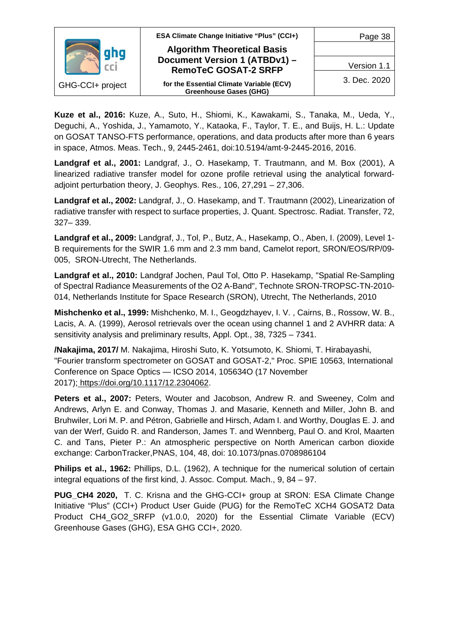

**Kuze et al., 2016:** Kuze, A., Suto, H., Shiomi, K., Kawakami, S., Tanaka, M., Ueda, Y., Deguchi, A., Yoshida, J., Yamamoto, Y., Kataoka, F., Taylor, T. E., and Buijs, H. L.: Update on GOSAT TANSO-FTS performance, operations, and data products after more than 6 years in space, Atmos. Meas. Tech., 9, 2445-2461, doi:10.5194/amt-9-2445-2016, 2016.

**Landgraf et al., 2001:** Landgraf, J., O. Hasekamp, T. Trautmann, and M. Box (2001), A linearized radiative transfer model for ozone profile retrieval using the analytical forwardadjoint perturbation theory, J. Geophys. Res., 106, 27,291 – 27,306.

**Landgraf et al., 2002:** Landgraf, J., O. Hasekamp, and T. Trautmann (2002), Linearization of radiative transfer with respect to surface properties, J. Quant. Spectrosc. Radiat. Transfer, 72, 327– 339.

**Landgraf et al., 2009:** Landgraf, J., Tol, P., Butz, A., Hasekamp, O., Aben, I. (2009), Level 1- B requirements for the SWIR 1.6 mm and 2.3 mm band, Camelot report, SRON/EOS/RP/09- 005, SRON-Utrecht, The Netherlands.

**Landgraf et al., 2010:** Landgraf Jochen, Paul Tol, Otto P. Hasekamp, "Spatial Re-Sampling of Spectral Radiance Measurements of the O2 A-Band", Technote SRON-TROPSC-TN-2010- 014, Netherlands Institute for Space Research (SRON), Utrecht, The Netherlands, 2010

**Mishchenko et al., 1999:** Mishchenko, M. I., Geogdzhayev, I. V. , Cairns, B., Rossow, W. B., Lacis, A. A. (1999), Aerosol retrievals over the ocean using channel 1 and 2 AVHRR data: A sensitivity analysis and preliminary results, Appl. Opt., 38, 7325 – 7341.

**/Nakajima, 2017/** M. Nakajima, Hiroshi Suto, K. Yotsumoto, K. Shiomi, T. Hirabayashi, "Fourier transform spectrometer on GOSAT and GOSAT-2," Proc. SPIE 10563, International Conference on Space Optics — ICSO 2014, 105634O (17 November 2017); [https://doi.org/10.1117/12.2304062.](https://doi.org/10.1117/12.2304062)

**Peters et al., 2007:** Peters, Wouter and Jacobson, Andrew R. and Sweeney, Colm and Andrews, Arlyn E. and Conway, Thomas J. and Masarie, Kenneth and Miller, John B. and Bruhwiler, Lori M. P. and Pétron, Gabrielle and Hirsch, Adam I. and Worthy, Douglas E. J. and van der Werf, Guido R. and Randerson, James T. and Wennberg, Paul O. and Krol, Maarten C. and Tans, Pieter P.: An atmospheric perspective on North American carbon dioxide exchange: CarbonTracker,PNAS, 104, 48, doi: 10.1073/pnas.0708986104

**Philips et al., 1962:** Phillips, D.L. (1962), A technique for the numerical solution of certain integral equations of the first kind, J. Assoc. Comput. Mach., 9, 84 – 97.

**PUG\_CH4 2020,** T. C. Krisna and the GHG-CCI+ group at SRON: ESA Climate Change Initiative "Plus" (CCI+) Product User Guide (PUG) for the RemoTeC XCH4 GOSAT2 Data Product CH4\_GO2\_SRFP (v1.0.0, 2020) for the Essential Climate Variable (ECV) Greenhouse Gases (GHG), ESA GHG CCI+, 2020.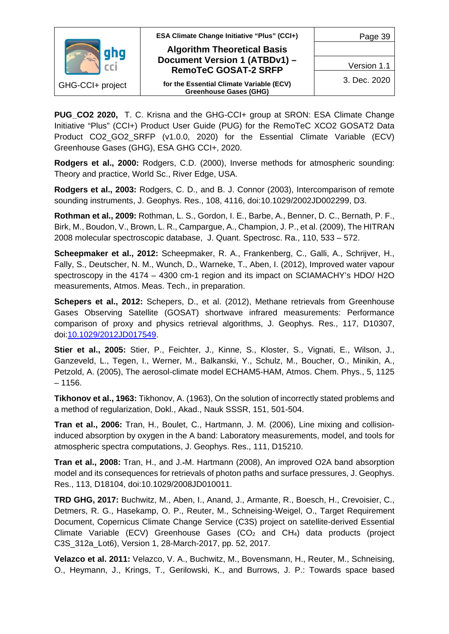

**PUG CO2 2020, T. C. Krisna and the GHG-CCI+ group at SRON: ESA Climate Change** Initiative "Plus" (CCI+) Product User Guide (PUG) for the RemoTeC XCO2 GOSAT2 Data Product CO2 GO2 SRFP (v1.0.0, 2020) for the Essential Climate Variable (ECV) Greenhouse Gases (GHG), ESA GHG CCI+, 2020.

**Rodgers et al., 2000:** Rodgers, C.D. (2000), Inverse methods for atmospheric sounding: Theory and practice, World Sc., River Edge, USA.

**Rodgers et al., 2003:** Rodgers, C. D., and B. J. Connor (2003), Intercomparison of remote sounding instruments, J. Geophys. Res., 108, 4116, doi[:10.1029/2002JD002299,](http://dx.doi.org/10.1029/2002JD002299) D3.

**Rothman et al., 2009:** Rothman, L. S., Gordon, I. E., Barbe, A., Benner, D. C., Bernath, P. F., Birk, M., Boudon, V., Brown, L. R., Campargue, A., Champion, J. P., et al. (2009), The HITRAN 2008 molecular spectroscopic database, J. Quant. Spectrosc. Ra., 110, 533 – 572.

**Scheepmaker et al., 2012:** Scheepmaker, R. A., Frankenberg, C., Galli, A., Schrijver, H., Fally, S., Deutscher, N. M., Wunch, D., Warneke, T., Aben, I. (2012), Improved water vapour spectroscopy in the 4174 – 4300 cm-1 region and its impact on SCIAMACHY's HDO/ H2O measurements, Atmos. Meas. Tech., in preparation.

**Schepers et al., 2012:** Schepers, D., et al. (2012), Methane retrievals from Greenhouse Gases Observing Satellite (GOSAT) shortwave infrared measurements: Performance comparison of proxy and physics retrieval algorithms, J. Geophys. Res., 117, D10307, doi[:10.1029/2012JD017549.](http://dx.doi.org/10.1029/2012JD017549)

**Stier et al., 2005:** Stier, P., Feichter, J., Kinne, S., Kloster, S., Vignati, E., Wilson, J., Ganzeveld, L., Tegen, I., Werner, M., Balkanski, Y., Schulz, M., Boucher, O., Minikin, A., Petzold, A. (2005), The aerosol-climate model ECHAM5-HAM, Atmos. Chem. Phys., 5, 1125  $-1156.$ 

**Tikhonov et al., 1963:** Tikhonov, A. (1963), On the solution of incorrectly stated problems and a method of regularization, Dokl., Akad., Nauk SSSR, 151, 501-504.

**Tran et al., 2006:** Tran, H., Boulet, C., Hartmann, J. M. (2006), Line mixing and collisioninduced absorption by oxygen in the A band: Laboratory measurements, model, and tools for atmospheric spectra computations, J. Geophys. Res., 111, D15210.

**Tran et al., 2008:** Tran, H., and J.‐M. Hartmann (2008), An improved O2A band absorption model and its consequences for retrievals of photon paths and surface pressures, J. Geophys. Res., 113, D18104, doi:10.1029/2008JD010011.

**TRD GHG, 2017:** Buchwitz, M., Aben, I., Anand, J., Armante, R., Boesch, H., Crevoisier, C., Detmers, R. G., Hasekamp, O. P., Reuter, M., Schneising-Weigel, O., Target Requirement Document, Copernicus Climate Change Service (C3S) project on satellite-derived Essential Climate Variable (ECV) Greenhouse Gases  $(CO<sub>2</sub>$  and CH<sub>4</sub>) data products (project C3S\_312a\_Lot6), Version 1, 28-March-2017, pp. 52, 2017.

**Velazco et al. 2011:** Velazco, V. A., Buchwitz, M., Bovensmann, H., Reuter, M., Schneising, O., Heymann, J., Krings, T., Gerilowski, K., and Burrows, J. P.: Towards space based